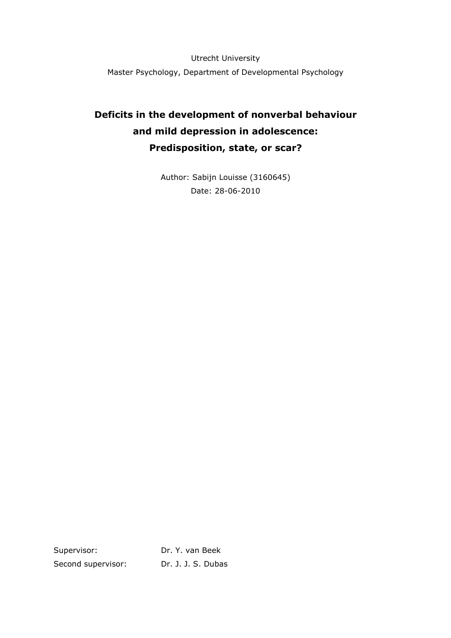Utrecht University Master Psychology, Department of Developmental Psychology

# **Deficits in the development of nonverbal behaviour and mild depression in adolescence: Predisposition, state, or scar?**

Author: Sabijn Louisse (3160645) Date: 28-06-2010

Supervisor: Dr. Y. van Beek Second supervisor: Dr. J. J. S. Dubas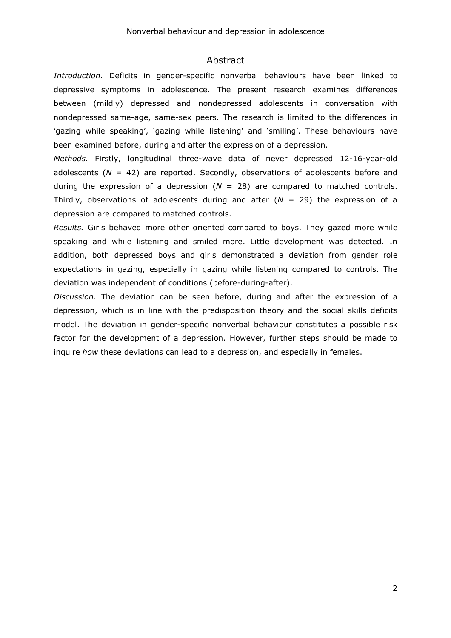#### Abstract

*Introduction.* Deficits in gender-specific nonverbal behaviours have been linked to depressive symptoms in adolescence. The present research examines differences between (mildly) depressed and nondepressed adolescents in conversation with nondepressed same-age, same-sex peers. The research is limited to the differences in 'gazing while speaking', 'gazing while listening' and 'smiling'. These behaviours have been examined before, during and after the expression of a depression.

*Methods.* Firstly, longitudinal three-wave data of never depressed 12-16-year-old adolescents  $(N = 42)$  are reported. Secondly, observations of adolescents before and during the expression of a depression  $(N = 28)$  are compared to matched controls. Thirdly, observations of adolescents during and after  $(N = 29)$  the expression of a depression are compared to matched controls.

*Results.* Girls behaved more other oriented compared to boys. They gazed more while speaking and while listening and smiled more. Little development was detected. In addition, both depressed boys and girls demonstrated a deviation from gender role expectations in gazing, especially in gazing while listening compared to controls. The deviation was independent of conditions (before-during-after).

*Discussion.* The deviation can be seen before, during and after the expression of a depression, which is in line with the predisposition theory and the social skills deficits model. The deviation in gender-specific nonverbal behaviour constitutes a possible risk factor for the development of a depression. However, further steps should be made to inquire *how* these deviations can lead to a depression, and especially in females.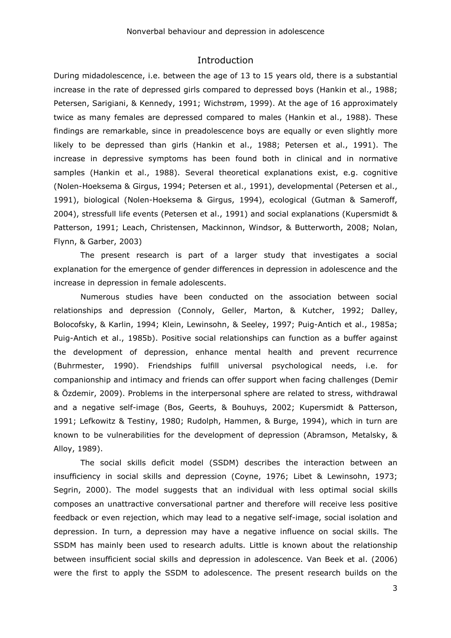## Introduction

During midadolescence, i.e. between the age of 13 to 15 years old, there is a substantial increase in the rate of depressed girls compared to depressed boys (Hankin et al., 1988; Petersen, Sarigiani, & Kennedy, 1991; Wichstrøm, 1999). At the age of 16 approximately twice as many females are depressed compared to males (Hankin et al., 1988). These findings are remarkable, since in preadolescence boys are equally or even slightly more likely to be depressed than girls (Hankin et al., 1988; Petersen et al., 1991). The increase in depressive symptoms has been found both in clinical and in normative samples (Hankin et al., 1988). Several theoretical explanations exist, e.g. cognitive (Nolen-Hoeksema & Girgus, 1994; Petersen et al., 1991), developmental (Petersen et al., 1991), biological (Nolen-Hoeksema & Girgus, 1994), ecological (Gutman & Sameroff, 2004), stressfull life events (Petersen et al., 1991) and social explanations (Kupersmidt & Patterson, 1991; Leach, Christensen, Mackinnon, Windsor, & Butterworth, 2008; Nolan, Flynn, & Garber, 2003)

The present research is part of a larger study that investigates a social explanation for the emergence of gender differences in depression in adolescence and the increase in depression in female adolescents.

Numerous studies have been conducted on the association between social relationships and depression (Connoly, Geller, Marton, & Kutcher, 1992; Dalley, Bolocofsky, & Karlin, 1994; Klein, Lewinsohn, & Seeley, 1997; Puig-Antich et al., 1985a; Puig-Antich et al., 1985b). Positive social relationships can function as a buffer against the development of depression, enhance mental health and prevent recurrence (Buhrmester, 1990). Friendships fulfill universal psychological needs, i.e. for companionship and intimacy and friends can offer support when facing challenges (Demir & Özdemir, 2009). Problems in the interpersonal sphere are related to stress, withdrawal and a negative self-image (Bos, Geerts, & Bouhuys, 2002; Kupersmidt & Patterson, 1991; Lefkowitz & Testiny, 1980; Rudolph, Hammen, & Burge, 1994), which in turn are known to be vulnerabilities for the development of depression (Abramson, Metalsky, & Alloy, 1989).

The social skills deficit model (SSDM) describes the interaction between an insufficiency in social skills and depression (Coyne, 1976; Libet & Lewinsohn, 1973; Segrin, 2000). The model suggests that an individual with less optimal social skills composes an unattractive conversational partner and therefore will receive less positive feedback or even rejection, which may lead to a negative self-image, social isolation and depression. In turn, a depression may have a negative influence on social skills. The SSDM has mainly been used to research adults. Little is known about the relationship between insufficient social skills and depression in adolescence. Van Beek et al. (2006) were the first to apply the SSDM to adolescence. The present research builds on the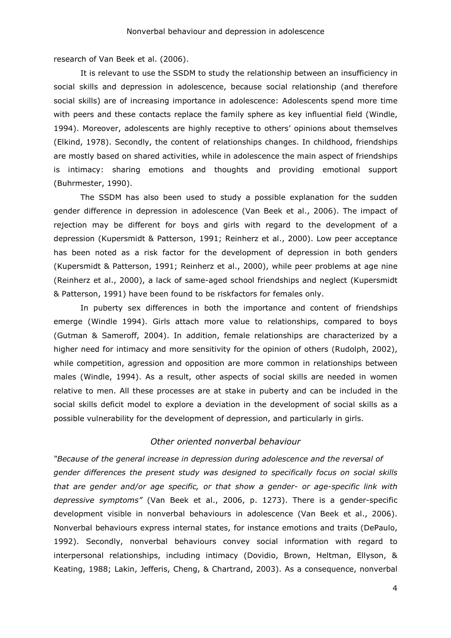research of Van Beek et al. (2006).

It is relevant to use the SSDM to study the relationship between an insufficiency in social skills and depression in adolescence, because social relationship (and therefore social skills) are of increasing importance in adolescence: Adolescents spend more time with peers and these contacts replace the family sphere as key influential field (Windle, 1994). Moreover, adolescents are highly receptive to others' opinions about themselves (Elkind, 1978). Secondly, the content of relationships changes. In childhood, friendships are mostly based on shared activities, while in adolescence the main aspect of friendships is intimacy: sharing emotions and thoughts and providing emotional support (Buhrmester, 1990).

The SSDM has also been used to study a possible explanation for the sudden gender difference in depression in adolescence (Van Beek et al., 2006). The impact of rejection may be different for boys and girls with regard to the development of a depression (Kupersmidt & Patterson, 1991; Reinherz et al., 2000). Low peer acceptance has been noted as a risk factor for the development of depression in both genders (Kupersmidt & Patterson, 1991; Reinherz et al., 2000), while peer problems at age nine (Reinherz et al., 2000), a lack of same-aged school friendships and neglect (Kupersmidt & Patterson, 1991) have been found to be riskfactors for females only.

In puberty sex differences in both the importance and content of friendships emerge (Windle 1994). Girls attach more value to relationships, compared to boys (Gutman & Sameroff, 2004). In addition, female relationships are characterized by a higher need for intimacy and more sensitivity for the opinion of others (Rudolph, 2002), while competition, agression and opposition are more common in relationships between males (Windle, 1994). As a result, other aspects of social skills are needed in women relative to men. All these processes are at stake in puberty and can be included in the social skills deficit model to explore a deviation in the development of social skills as a possible vulnerability for the development of depression, and particularly in girls.

#### *Other oriented nonverbal behaviour*

*"Because of the general increase in depression during adolescence and the reversal of gender differences the present study was designed to specifically focus on social skills that are gender and/or age specific, or that show a gender- or age-specific link with depressive symptoms"* (Van Beek et al., 2006, p. 1273). There is a gender-specific development visible in nonverbal behaviours in adolescence (Van Beek et al., 2006). Nonverbal behaviours express internal states, for instance emotions and traits (DePaulo, 1992). Secondly, nonverbal behaviours convey social information with regard to interpersonal relationships, including intimacy (Dovidio, Brown, Heltman, Ellyson, & Keating, 1988; Lakin, Jefferis, Cheng, & Chartrand, 2003). As a consequence, nonverbal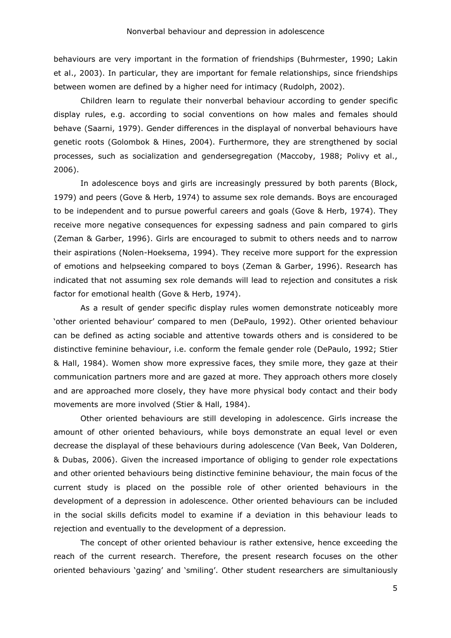behaviours are very important in the formation of friendships (Buhrmester, 1990; Lakin et al., 2003). In particular, they are important for female relationships, since friendships between women are defined by a higher need for intimacy (Rudolph, 2002).

Children learn to regulate their nonverbal behaviour according to gender specific display rules, e.g. according to social conventions on how males and females should behave (Saarni, 1979). Gender differences in the displayal of nonverbal behaviours have genetic roots (Golombok & Hines, 2004). Furthermore, they are strengthened by social processes, such as socialization and gendersegregation (Maccoby, 1988; Polivy et al., 2006).

In adolescence boys and girls are increasingly pressured by both parents (Block, 1979) and peers (Gove & Herb, 1974) to assume sex role demands. Boys are encouraged to be independent and to pursue powerful careers and goals (Gove & Herb, 1974). They receive more negative consequences for expessing sadness and pain compared to girls (Zeman & Garber, 1996). Girls are encouraged to submit to others needs and to narrow their aspirations (Nolen-Hoeksema, 1994). They receive more support for the expression of emotions and helpseeking compared to boys (Zeman & Garber, 1996). Research has indicated that not assuming sex role demands will lead to rejection and consitutes a risk factor for emotional health (Gove & Herb, 1974).

As a result of gender specific display rules women demonstrate noticeably more 'other oriented behaviour' compared to men (DePaulo, 1992). Other oriented behaviour can be defined as acting sociable and attentive towards others and is considered to be distinctive feminine behaviour, i.e. conform the female gender role (DePaulo, 1992; Stier & Hall, 1984). Women show more expressive faces, they smile more, they gaze at their communication partners more and are gazed at more. They approach others more closely and are approached more closely, they have more physical body contact and their body movements are more involved (Stier & Hall, 1984).

Other oriented behaviours are still developing in adolescence. Girls increase the amount of other oriented behaviours, while boys demonstrate an equal level or even decrease the displayal of these behaviours during adolescence (Van Beek, Van Dolderen, & Dubas, 2006). Given the increased importance of obliging to gender role expectations and other oriented behaviours being distinctive feminine behaviour, the main focus of the current study is placed on the possible role of other oriented behaviours in the development of a depression in adolescence. Other oriented behaviours can be included in the social skills deficits model to examine if a deviation in this behaviour leads to rejection and eventually to the development of a depression*.*

The concept of other oriented behaviour is rather extensive, hence exceeding the reach of the current research. Therefore, the present research focuses on the other oriented behaviours 'gazing' and 'smiling'. Other student researchers are simultaniously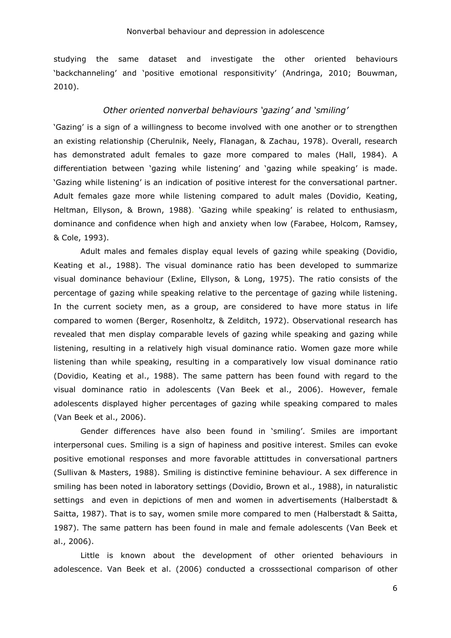#### Nonverbal behaviour and depression in adolescence

studying the same dataset and investigate the other oriented behaviours 'backchanneling' and 'positive emotional responsitivity' (Andringa, 2010; Bouwman, 2010).

#### *Other oriented nonverbal behaviours 'gazing' and 'smiling'*

'Gazing' is a sign of a willingness to become involved with one another or to strengthen an existing relationship (Cherulnik, Neely, Flanagan, & Zachau, 1978). Overall, research has demonstrated adult females to gaze more compared to males (Hall, 1984). A differentiation between 'gazing while listening' and 'gazing while speaking' is made. 'Gazing while listening' is an indication of positive interest for the conversational partner. Adult females gaze more while listening compared to adult males (Dovidio, Keating, Heltman, Ellyson, & Brown, 1988). 'Gazing while speaking' is related to enthusiasm, dominance and confidence when high and anxiety when low (Farabee, Holcom, Ramsey, & Cole, 1993).

Adult males and females display equal levels of gazing while speaking (Dovidio, Keating et al., 1988). The visual dominance ratio has been developed to summarize visual dominance behaviour (Exline, Ellyson, & Long, 1975). The ratio consists of the percentage of gazing while speaking relative to the percentage of gazing while listening. In the current society men, as a group, are considered to have more status in life compared to women (Berger, Rosenholtz, & Zelditch, 1972). Observational research has revealed that men display comparable levels of gazing while speaking and gazing while listening, resulting in a relatively high visual dominance ratio. Women gaze more while listening than while speaking, resulting in a comparatively low visual dominance ratio (Dovidio, Keating et al., 1988). The same pattern has been found with regard to the visual dominance ratio in adolescents (Van Beek et al., 2006). However, female adolescents displayed higher percentages of gazing while speaking compared to males (Van Beek et al., 2006).

Gender differences have also been found in 'smiling'. Smiles are important interpersonal cues. Smiling is a sign of hapiness and positive interest. Smiles can evoke positive emotional responses and more favorable attittudes in conversational partners (Sullivan & Masters, 1988). Smiling is distinctive feminine behaviour. A sex difference in smiling has been noted in laboratory settings (Dovidio, Brown et al., 1988), in naturalistic settings and even in depictions of men and women in advertisements (Halberstadt & Saitta, 1987). That is to say, women smile more compared to men (Halberstadt & Saitta, 1987). The same pattern has been found in male and female adolescents (Van Beek et al., 2006).

Little is known about the development of other oriented behaviours in adolescence. Van Beek et al. (2006) conducted a crosssectional comparison of other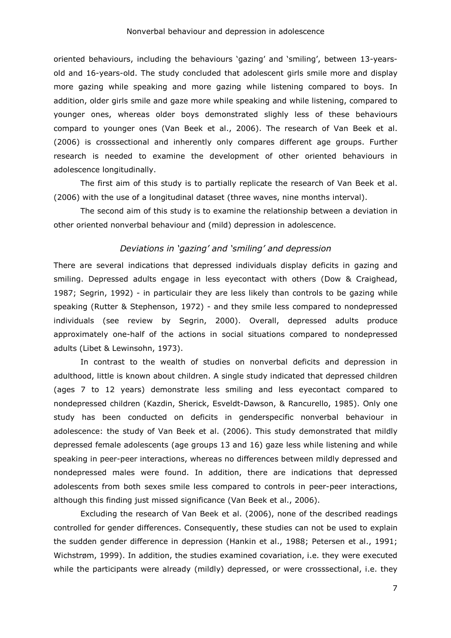oriented behaviours, including the behaviours 'gazing' and 'smiling', between 13-yearsold and 16-years-old. The study concluded that adolescent girls smile more and display more gazing while speaking and more gazing while listening compared to boys. In addition, older girls smile and gaze more while speaking and while listening, compared to younger ones, whereas older boys demonstrated slighly less of these behaviours compard to younger ones (Van Beek et al., 2006). The research of Van Beek et al. (2006) is crosssectional and inherently only compares different age groups. Further research is needed to examine the development of other oriented behaviours in adolescence longitudinally.

The first aim of this study is to partially replicate the research of Van Beek et al. (2006) with the use of a longitudinal dataset (three waves, nine months interval).

The second aim of this study is to examine the relationship between a deviation in other oriented nonverbal behaviour and (mild) depression in adolescence.

## *Deviations in 'gazing' and 'smiling' and depression*

There are several indications that depressed individuals display deficits in gazing and smiling. Depressed adults engage in less eyecontact with others (Dow & Craighead, 1987; Segrin, 1992) - in particulair they are less likely than controls to be gazing while speaking (Rutter & Stephenson, 1972) - and they smile less compared to nondepressed individuals (see review by Segrin, 2000). Overall, depressed adults produce approximately one-half of the actions in social situations compared to nondepressed adults (Libet & Lewinsohn, 1973).

In contrast to the wealth of studies on nonverbal deficits and depression in adulthood, little is known about children. A single study indicated that depressed children (ages 7 to 12 years) demonstrate less smiling and less eyecontact compared to nondepressed children (Kazdin, Sherick, Esveldt-Dawson, & Rancurello, 1985). Only one study has been conducted on deficits in genderspecific nonverbal behaviour in adolescence: the study of Van Beek et al. (2006). This study demonstrated that mildly depressed female adolescents (age groups 13 and 16) gaze less while listening and while speaking in peer-peer interactions, whereas no differences between mildly depressed and nondepressed males were found. In addition, there are indications that depressed adolescents from both sexes smile less compared to controls in peer-peer interactions, although this finding just missed significance (Van Beek et al., 2006).

Excluding the research of Van Beek et al. (2006), none of the described readings controlled for gender differences. Consequently, these studies can not be used to explain the sudden gender difference in depression (Hankin et al., 1988; Petersen et al., 1991; Wichstrøm, 1999). In addition, the studies examined covariation, i.e. they were executed while the participants were already (mildly) depressed, or were crosssectional, i.e. they

7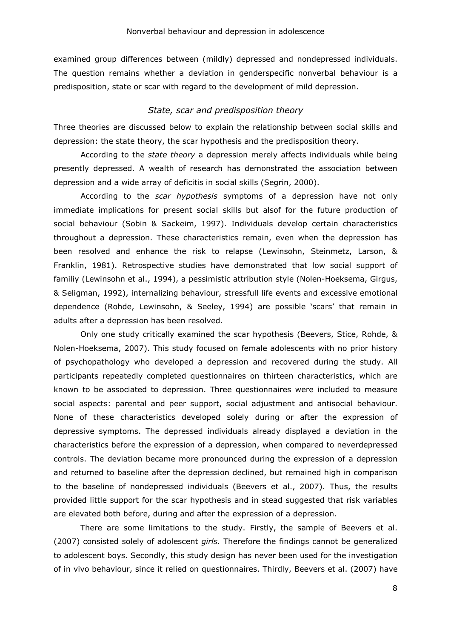examined group differences between (mildly) depressed and nondepressed individuals. The question remains whether a deviation in genderspecific nonverbal behaviour is a predisposition, state or scar with regard to the development of mild depression.

#### *State, scar and predisposition theory*

Three theories are discussed below to explain the relationship between social skills and depression: the state theory, the scar hypothesis and the predisposition theory.

 According to the *state theory* a depression merely affects individuals while being presently depressed. A wealth of research has demonstrated the association between depression and a wide array of deficitis in social skills (Segrin, 2000).

According to the *scar hypothesis* symptoms of a depression have not only immediate implications for present social skills but alsof for the future production of social behaviour (Sobin & Sackeim, 1997). Individuals develop certain characteristics throughout a depression. These characteristics remain, even when the depression has been resolved and enhance the risk to relapse (Lewinsohn, Steinmetz, Larson, & Franklin, 1981). Retrospective studies have demonstrated that low social support of familiy (Lewinsohn et al., 1994), a pessimistic attribution style (Nolen-Hoeksema, Girgus, & Seligman, 1992), internalizing behaviour, stressfull life events and excessive emotional dependence (Rohde, Lewinsohn, & Seeley, 1994) are possible 'scars' that remain in adults after a depression has been resolved.

Only one study critically examined the scar hypothesis (Beevers, Stice, Rohde, & Nolen-Hoeksema, 2007). This study focused on female adolescents with no prior history of psychopathology who developed a depression and recovered during the study. All participants repeatedly completed questionnaires on thirteen characteristics, which are known to be associated to depression. Three questionnaires were included to measure social aspects: parental and peer support, social adjustment and antisocial behaviour. None of these characteristics developed solely during or after the expression of depressive symptoms. The depressed individuals already displayed a deviation in the characteristics before the expression of a depression, when compared to neverdepressed controls. The deviation became more pronounced during the expression of a depression and returned to baseline after the depression declined, but remained high in comparison to the baseline of nondepressed individuals (Beevers et al., 2007). Thus, the results provided little support for the scar hypothesis and in stead suggested that risk variables are elevated both before, during and after the expression of a depression.

There are some limitations to the study. Firstly, the sample of Beevers et al. (2007) consisted solely of adolescent *girls*. Therefore the findings cannot be generalized to adolescent boys. Secondly, this study design has never been used for the investigation of in vivo behaviour, since it relied on questionnaires. Thirdly, Beevers et al. (2007) have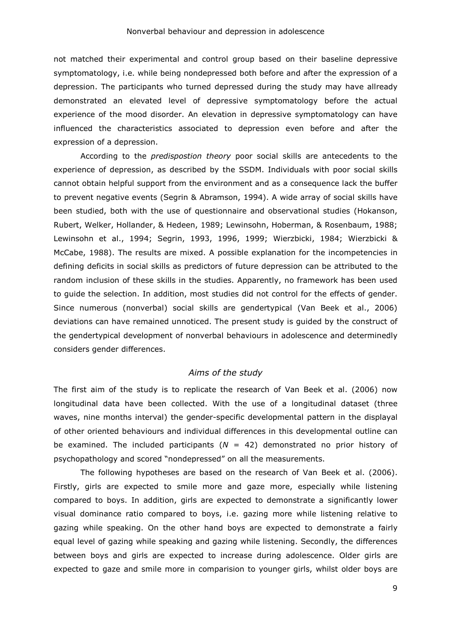not matched their experimental and control group based on their baseline depressive symptomatology, i.e. while being nondepressed both before and after the expression of a depression. The participants who turned depressed during the study may have allready demonstrated an elevated level of depressive symptomatology before the actual experience of the mood disorder. An elevation in depressive symptomatology can have influenced the characteristics associated to depression even before and after the expression of a depression.

According to the *predispostion theory* poor social skills are antecedents to the experience of depression, as described by the SSDM. Individuals with poor social skills cannot obtain helpful support from the environment and as a consequence lack the buffer to prevent negative events (Segrin & Abramson, 1994). A wide array of social skills have been studied, both with the use of questionnaire and observational studies (Hokanson, Rubert, Welker, Hollander, & Hedeen, 1989; Lewinsohn, Hoberman, & Rosenbaum, 1988; Lewinsohn et al., 1994; Segrin, 1993, 1996, 1999; Wierzbicki, 1984; Wierzbicki & McCabe, 1988). The results are mixed. A possible explanation for the incompetencies in defining deficits in social skills as predictors of future depression can be attributed to the random inclusion of these skills in the studies. Apparently, no framework has been used to guide the selection. In addition, most studies did not control for the effects of gender. Since numerous (nonverbal) social skills are gendertypical (Van Beek et al., 2006) deviations can have remained unnoticed. The present study is guided by the construct of the gendertypical development of nonverbal behaviours in adolescence and determinedly considers gender differences.

#### *Aims of the study*

The first aim of the study is to replicate the research of Van Beek et al. (2006) now longitudinal data have been collected. With the use of a longitudinal dataset (three waves, nine months interval) the gender-specific developmental pattern in the displayal of other oriented behaviours and individual differences in this developmental outline can be examined. The included participants (*N* = 42) demonstrated no prior history of psychopathology and scored "nondepressed" on all the measurements.

The following hypotheses are based on the research of Van Beek et al. (2006). Firstly, girls are expected to smile more and gaze more, especially while listening compared to boys. In addition, girls are expected to demonstrate a significantly lower visual dominance ratio compared to boys, i.e. gazing more while listening relative to gazing while speaking. On the other hand boys are expected to demonstrate a fairly equal level of gazing while speaking and gazing while listening. Secondly, the differences between boys and girls are expected to increase during adolescence. Older girls are expected to gaze and smile more in comparision to younger girls, whilst older boys are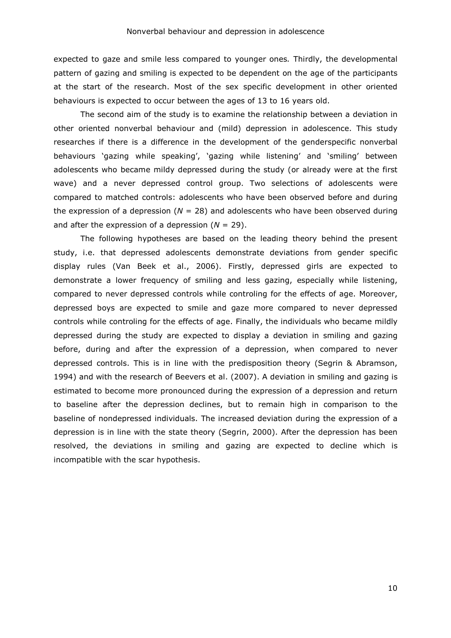expected to gaze and smile less compared to younger ones*.* Thirdly, the developmental pattern of gazing and smiling is expected to be dependent on the age of the participants at the start of the research. Most of the sex specific development in other oriented behaviours is expected to occur between the ages of 13 to 16 years old.

The second aim of the study is to examine the relationship between a deviation in other oriented nonverbal behaviour and (mild) depression in adolescence. This study researches if there is a difference in the development of the genderspecific nonverbal behaviours 'gazing while speaking', 'gazing while listening' and 'smiling' between adolescents who became mildy depressed during the study (or already were at the first wave) and a never depressed control group. Two selections of adolescents were compared to matched controls: adolescents who have been observed before and during the expression of a depression  $(N = 28)$  and adolescents who have been observed during and after the expression of a depression (*N* = 29).

The following hypotheses are based on the leading theory behind the present study, i.e. that depressed adolescents demonstrate deviations from gender specific display rules (Van Beek et al., 2006). Firstly, depressed girls are expected to demonstrate a lower frequency of smiling and less gazing, especially while listening, compared to never depressed controls while controling for the effects of age. Moreover, depressed boys are expected to smile and gaze more compared to never depressed controls while controling for the effects of age. Finally, the individuals who became mildly depressed during the study are expected to display a deviation in smiling and gazing before, during and after the expression of a depression, when compared to never depressed controls. This is in line with the predisposition theory (Segrin & Abramson, 1994) and with the research of Beevers et al. (2007). A deviation in smiling and gazing is estimated to become more pronounced during the expression of a depression and return to baseline after the depression declines, but to remain high in comparison to the baseline of nondepressed individuals. The increased deviation during the expression of a depression is in line with the state theory (Segrin, 2000). After the depression has been resolved, the deviations in smiling and gazing are expected to decline which is incompatible with the scar hypothesis.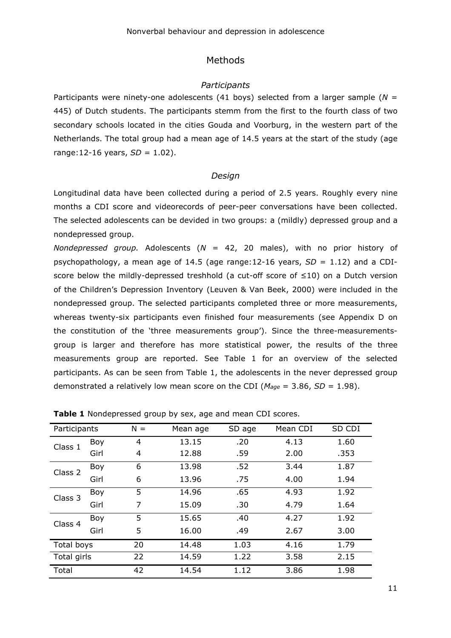## Methods

#### *Participants*

Participants were ninety-one adolescents (41 boys) selected from a larger sample (*N* = 445) of Dutch students. The participants stemm from the first to the fourth class of two secondary schools located in the cities Gouda and Voorburg, in the western part of the Netherlands. The total group had a mean age of 14.5 years at the start of the study (age range:12-16 years, *SD* = 1.02).

#### *Design*

Longitudinal data have been collected during a period of 2.5 years. Roughly every nine months a CDI score and videorecords of peer-peer conversations have been collected. The selected adolescents can be devided in two groups: a (mildly) depressed group and a nondepressed group.

*Nondepressed group.* Adolescents (*N* = 42, 20 males), with no prior history of psychopathology, a mean age of 14.5 (age range:12-16 years, *SD* = 1.12) and a CDIscore below the mildly-depressed treshhold (a cut-off score of ≤10) on a Dutch version of the Children's Depression Inventory (Leuven & Van Beek, 2000) were included in the nondepressed group. The selected participants completed three or more measurements, whereas twenty-six participants even finished four measurements (see Appendix D on the constitution of the 'three measurements group'). Since the three-measurementsgroup is larger and therefore has more statistical power, the results of the three measurements group are reported. See Table 1 for an overview of the selected participants. As can be seen from Table 1, the adolescents in the never depressed group demonstrated a relatively low mean score on the CDI (*Mage* = 3.86, *SD* = 1.98).

| Participants |      | $N =$ | Mean age | SD age | Mean CDI | SD CDI |
|--------------|------|-------|----------|--------|----------|--------|
| Class 1      | Boy  | 4     | 13.15    | .20    | 4.13     | 1.60   |
|              | Girl | 4     | 12.88    | .59    | 2.00     | .353   |
| Class 2      | Boy  | 6     | 13.98    | .52    | 3.44     | 1.87   |
|              | Girl | 6     | 13.96    | .75    | 4.00     | 1.94   |
| Class 3      | Boy  | 5     | 14.96    | .65    | 4.93     | 1.92   |
|              | Girl | 7     | 15.09    | .30    | 4.79     | 1.64   |
| Class 4      | Boy  | 5     | 15.65    | .40    | 4.27     | 1.92   |
|              | Girl | 5     | 16.00    | .49    | 2.67     | 3.00   |
| Total boys   |      | 20    | 14.48    | 1.03   | 4.16     | 1.79   |
| Total girls  |      | 22    | 14.59    | 1.22   | 3.58     | 2.15   |
| Total        |      | 42    | 14.54    | 1.12   | 3.86     | 1.98   |

**Table 1** Nondepressed group by sex, age and mean CDI scores.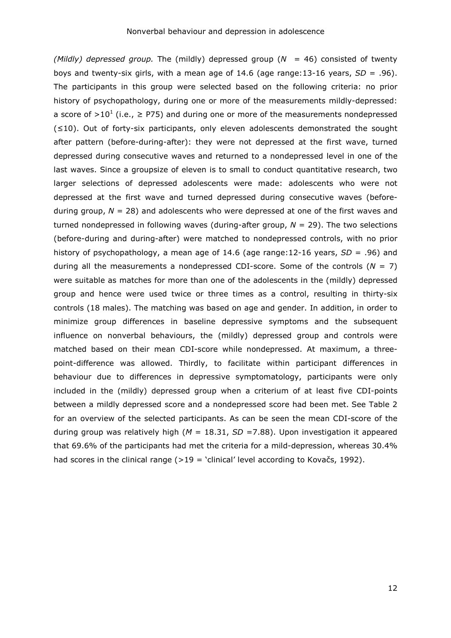*(Mildly) depressed group.* The (mildly) depressed group (*N* = 46) consisted of twenty boys and twenty-six girls, with a mean age of 14.6 (age range:13-16 years, *SD* = .96). The participants in this group were selected based on the following criteria: no prior history of psychopathology, during one or more of the measurements mildly-depressed: a score of >10<sup>1</sup> (i.e.,  $\geq$  P75) and during one or more of the measurements nondepressed (≤10). Out of forty-six participants, only eleven adolescents demonstrated the sought after pattern (before-during-after): they were not depressed at the first wave, turned depressed during consecutive waves and returned to a nondepressed level in one of the last waves. Since a groupsize of eleven is to small to conduct quantitative research, two larger selections of depressed adolescents were made: adolescents who were not depressed at the first wave and turned depressed during consecutive waves (beforeduring group, *N* = 28) and adolescents who were depressed at one of the first waves and turned nondepressed in following waves (during-after group, *N* = 29). The two selections (before-during and during-after) were matched to nondepressed controls, with no prior history of psychopathology, a mean age of 14.6 (age range:12-16 years, *SD* = .96) and during all the measurements a nondepressed CDI-score. Some of the controls (*N* = 7) were suitable as matches for more than one of the adolescents in the (mildly) depressed group and hence were used twice or three times as a control, resulting in thirty-six controls (18 males). The matching was based on age and gender. In addition, in order to minimize group differences in baseline depressive symptoms and the subsequent influence on nonverbal behaviours, the (mildly) depressed group and controls were matched based on their mean CDI-score while nondepressed. At maximum, a threepoint-difference was allowed. Thirdly, to facilitate within participant differences in behaviour due to differences in depressive symptomatology, participants were only included in the (mildly) depressed group when a criterium of at least five CDI-points between a mildly depressed score and a nondepressed score had been met. See Table 2 for an overview of the selected participants. As can be seen the mean CDI-score of the during group was relatively high (*M* = 18.31, *SD* =7.88). Upon investigation it appeared that 69.6% of the participants had met the criteria for a mild-depression, whereas 30.4% had scores in the clinical range  $(>19 =$  'clinical' level according to Kovačs, 1992).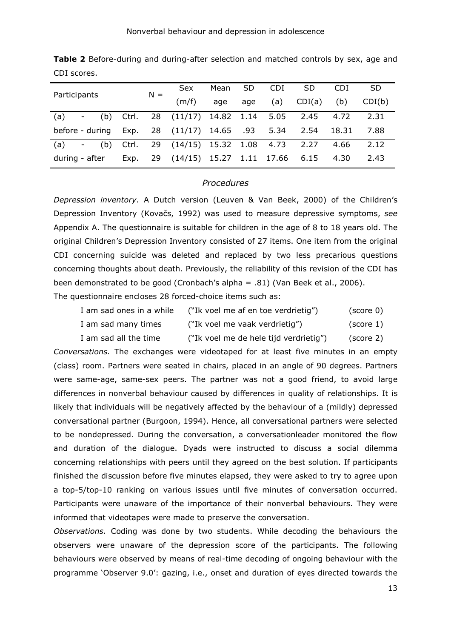|                                          |       | $N =$ | <b>Sex</b>                       | Mean | <b>SD</b> | <b>CDI</b> | <b>SD</b> | <b>CDI</b> | <b>SD</b> |
|------------------------------------------|-------|-------|----------------------------------|------|-----------|------------|-----------|------------|-----------|
| Participants                             |       |       | (m/f)                            | age  | age       | (a)        | CDI(a)    | (b)        | CDI(b)    |
| (a)<br>(b) .<br>$\overline{\phantom{a}}$ | Ctrl. |       | 28 (11/17) 14.82 1.14 5.05       |      |           |            | 2.45      | 4.72       | 2.31      |
| before - during Exp.                     |       |       | 28 (11/17) 14.65 .93 5.34        |      |           |            | 2.54      | 18.31      | 7.88      |
| (a)<br>(b)<br>$\overline{\phantom{a}}$   | Ctrl. |       | 29 (14/15) 15.32 1.08 4.73       |      |           |            | 2.27      | 4.66       | 2.12      |
| during - after                           | Exp.  |       | 29 (14/15) 15.27 1.11 17.66 6.15 |      |           |            |           | 4.30       | 2.43      |

**Table 2** Before-during and during-after selection and matched controls by sex, age and CDI scores.

#### *Procedures*

*Depression inventory*. A Dutch version (Leuven & Van Beek, 2000) of the Children's Depression Inventory (Kovačs, 1992) was used to measure depressive symptoms, *see*  Appendix A. The questionnaire is suitable for children in the age of 8 to 18 years old. The original Children's Depression Inventory consisted of 27 items. One item from the original CDI concerning suicide was deleted and replaced by two less precarious questions concerning thoughts about death. Previously, the reliability of this revision of the CDI has been demonstrated to be good (Cronbach's alpha = .81) (Van Beek et al., 2006). The questionnaire encloses 28 forced-choice items such as:

| I am sad ones in a while | ("Ik voel me af en toe verdrietig")    | (score 0) |
|--------------------------|----------------------------------------|-----------|
| I am sad many times      | ("Ik voel me vaak verdrietig")         | (score 1) |
| I am sad all the time    | ("Ik voel me de hele tijd verdrietig") | (score 2) |

*Conversations.* The exchanges were videotaped for at least five minutes in an empty (class) room. Partners were seated in chairs, placed in an angle of 90 degrees. Partners were same-age, same-sex peers. The partner was not a good friend, to avoid large differences in nonverbal behaviour caused by differences in quality of relationships. It is likely that individuals will be negatively affected by the behaviour of a (mildly) depressed conversational partner (Burgoon, 1994). Hence, all conversational partners were selected to be nondepressed. During the conversation, a conversationleader monitored the flow and duration of the dialogue. Dyads were instructed to discuss a social dilemma concerning relationships with peers until they agreed on the best solution. If participants finished the discussion before five minutes elapsed, they were asked to try to agree upon a top-5/top-10 ranking on various issues until five minutes of conversation occurred. Participants were unaware of the importance of their nonverbal behaviours. They were informed that videotapes were made to preserve the conversation.

*Observations.* Coding was done by two students. While decoding the behaviours the observers were unaware of the depression score of the participants. The following behaviours were observed by means of real-time decoding of ongoing behaviour with the programme 'Observer 9.0': gazing, i.e., onset and duration of eyes directed towards the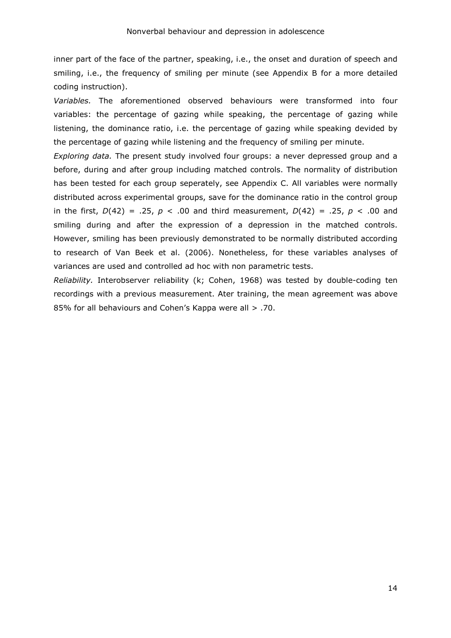inner part of the face of the partner, speaking, i.e., the onset and duration of speech and smiling, i.e., the frequency of smiling per minute (see Appendix B for a more detailed coding instruction).

*Variables.* The aforementioned observed behaviours were transformed into four variables: the percentage of gazing while speaking, the percentage of gazing while listening, the dominance ratio, i.e. the percentage of gazing while speaking devided by the percentage of gazing while listening and the frequency of smiling per minute.

*Exploring data.* The present study involved four groups: a never depressed group and a before, during and after group including matched controls. The normality of distribution has been tested for each group seperately, see Appendix C. All variables were normally distributed across experimental groups, save for the dominance ratio in the control group in the first,  $D(42) = .25$ ,  $p < .00$  and third measurement,  $D(42) = .25$ ,  $p < .00$  and smiling during and after the expression of a depression in the matched controls. However, smiling has been previously demonstrated to be normally distributed according to research of Van Beek et al. (2006). Nonetheless, for these variables analyses of variances are used and controlled ad hoc with non parametric tests.

*Reliability.* Interobserver reliability (k; Cohen, 1968) was tested by double-coding ten recordings with a previous measurement. Ater training, the mean agreement was above 85% for all behaviours and Cohen's Kappa were all > .70.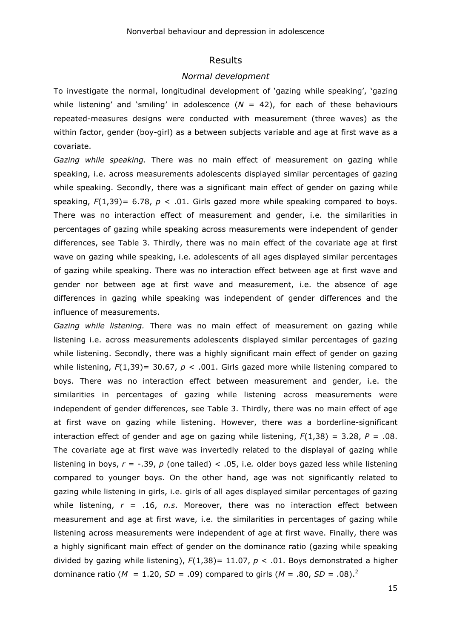#### Results

#### *Normal development*

To investigate the normal, longitudinal development of 'gazing while speaking', 'gazing while listening' and 'smiling' in adolescence  $(N = 42)$ , for each of these behaviours repeated-measures designs were conducted with measurement (three waves) as the within factor, gender (boy-girl) as a between subjects variable and age at first wave as a covariate.

*Gazing while speaking.* There was no main effect of measurement on gazing while speaking, i.e. across measurements adolescents displayed similar percentages of gazing while speaking. Secondly, there was a significant main effect of gender on gazing while speaking,  $F(1,39)= 6.78$ ,  $p < .01$ . Girls gazed more while speaking compared to boys. There was no interaction effect of measurement and gender, i.e. the similarities in percentages of gazing while speaking across measurements were independent of gender differences, see Table 3. Thirdly, there was no main effect of the covariate age at first wave on gazing while speaking, i.e. adolescents of all ages displayed similar percentages of gazing while speaking. There was no interaction effect between age at first wave and gender nor between age at first wave and measurement, i.e. the absence of age differences in gazing while speaking was independent of gender differences and the influence of measurements.

*Gazing while listening.* There was no main effect of measurement on gazing while listening i.e. across measurements adolescents displayed similar percentages of gazing while listening. Secondly, there was a highly significant main effect of gender on gazing while listening,  $F(1,39)$ = 30.67,  $p < .001$ . Girls gazed more while listening compared to boys. There was no interaction effect between measurement and gender, i.e. the similarities in percentages of gazing while listening across measurements were independent of gender differences, see Table 3. Thirdly, there was no main effect of age at first wave on gazing while listening. However, there was a borderline-significant interaction effect of gender and age on gazing while listening,  $F(1,38) = 3.28$ ,  $P = .08$ . The covariate age at first wave was invertedly related to the displayal of gazing while listening in boys, *r* = -.39, *p* (one tailed) < .05, i.e*.* older boys gazed less while listening compared to younger boys. On the other hand, age was not significantly related to gazing while listening in girls, i.e. girls of all ages displayed similar percentages of gazing while listening, *r* = .16, *n.s*. Moreover, there was no interaction effect between measurement and age at first wave, i.e. the similarities in percentages of gazing while listening across measurements were independent of age at first wave. Finally, there was a highly significant main effect of gender on the dominance ratio (gazing while speaking divided by gazing while listening), *F*(1,38)= 11.07, *p* < .01. Boys demonstrated a higher dominance ratio ( $M = 1.20$ ,  $SD = .09$ ) compared to girls ( $M = .80$ ,  $SD = .08$ ).<sup>2</sup>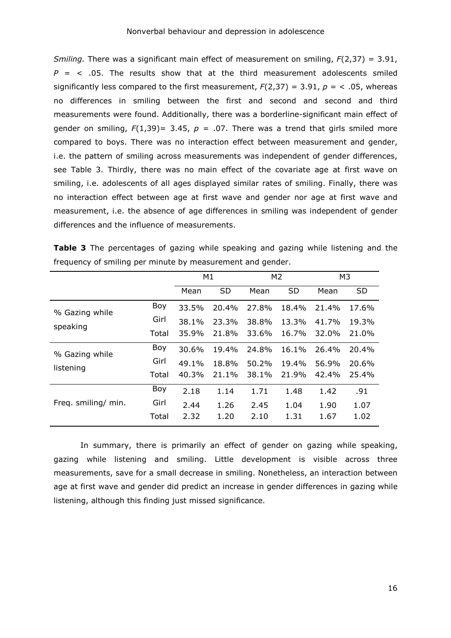*Smiling.* There was a significant main effect of measurement on smiling, *F*(2,37) = 3.91,  $P = \langle .05, .75 \rangle$  The results show that at the third measurement adolescents smiled significantly less compared to the first measurement,  $F(2,37) = 3.91$ ,  $p = 1.05$ , whereas no differences in smiling between the first and second and second and third measurements were found. Additionally, there was a borderline-significant main effect of gender on smiling,  $F(1,39)$ = 3.45,  $p = .07$ . There was a trend that girls smiled more compared to boys. There was no interaction effect between measurement and gender, i.e. the pattern of smiling across measurements was independent of gender differences, see Table 3. Thirdly, there was no main effect of the covariate age at first wave on smiling, i.e. adolescents of all ages displayed similar rates of smiling. Finally, there was no interaction effect between age at first wave and gender nor age at first wave and measurement, i.e. the absence of age differences in smiling was independent of gender differences and the influence of measurements.

|                     |       | M1    |           | M <sub>2</sub> |           | M3    |           |
|---------------------|-------|-------|-----------|----------------|-----------|-------|-----------|
|                     |       | Mean  | <b>SD</b> | Mean           | <b>SD</b> | Mean  | <b>SD</b> |
| % Gazing while      | Boy   | 33.5% | 20.4%     | 27.8%          | 18.4%     | 21.4% | 17.6%     |
| speaking            | Girl  | 38.1% | 23.3%     | 38.8%          | 13.3%     | 41.7% | 19.3%     |
|                     | Total | 35.9% | 21.8%     | 33.6%          | 16.7%     | 32.0% | 21.0%     |
| % Gazing while      | Boy   | 30.6% | 19.4%     | 24.8%          | 16.1%     | 26.4% | 20.4%     |
| listening           | Girl  | 49.1% | 18.8%     | 50.2%          | 19.4%     | 56.9% | 20.6%     |
|                     | Total | 40.3% | 21.1%     | 38.1%          | 21.9%     | 42.4% | 25.4%     |
|                     | Boy   | 2.18  | 1.14      | 1.71           | 1.48      | 1.42  | .91       |
| Freq. smiling/ min. | Girl  | 2.44  | 1.26      | 2.45           | 1.04      | 1.90  | 1.07      |
|                     | Total | 2.32  | 1.20      | 2.10           | 1.31      | 1.67  | 1.02      |

**Table 3** The percentages of gazing while speaking and gazing while listening and the frequency of smiling per minute by measurement and gender.

In summary, there is primarily an effect of gender on gazing while speaking, gazing while listening and smiling. Little development is visible across three measurements, save for a small decrease in smiling. Nonetheless, an interaction between age at first wave and gender did predict an increase in gender differences in gazing while listening, although this finding just missed significance.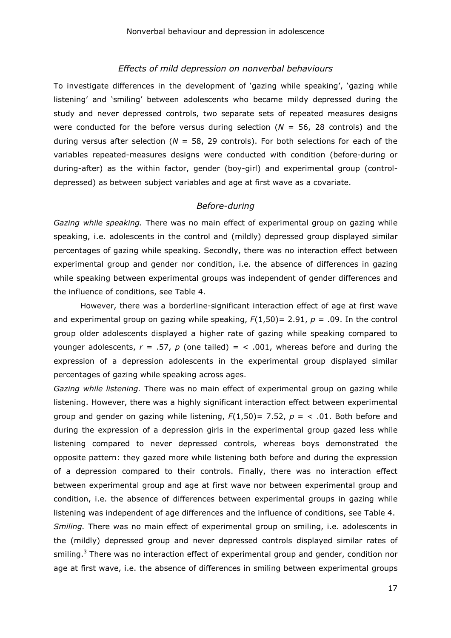#### *Effects of mild depression on nonverbal behaviours*

To investigate differences in the development of 'gazing while speaking', 'gazing while listening' and 'smiling' between adolescents who became mildy depressed during the study and never depressed controls, two separate sets of repeated measures designs were conducted for the before versus during selection ( $N = 56$ , 28 controls) and the during versus after selection ( $N = 58$ , 29 controls). For both selections for each of the variables repeated-measures designs were conducted with condition (before-during or during-after) as the within factor, gender (boy-girl) and experimental group (controldepressed) as between subject variables and age at first wave as a covariate.

#### *Before-during*

*Gazing while speaking.* There was no main effect of experimental group on gazing while speaking, i.e. adolescents in the control and (mildly) depressed group displayed similar percentages of gazing while speaking. Secondly, there was no interaction effect between experimental group and gender nor condition, i.e. the absence of differences in gazing while speaking between experimental groups was independent of gender differences and the influence of conditions, see Table 4.

However, there was a borderline-significant interaction effect of age at first wave and experimental group on gazing while speaking,  $F(1,50)$  = 2.91,  $p = .09$ . In the control group older adolescents displayed a higher rate of gazing while speaking compared to younger adolescents,  $r = .57$ ,  $p$  (one tailed) =  $\lt$  .001, whereas before and during the expression of a depression adolescents in the experimental group displayed similar percentages of gazing while speaking across ages.

*Gazing while listening.* There was no main effect of experimental group on gazing while listening. However, there was a highly significant interaction effect between experimental group and gender on gazing while listening,  $F(1,50)$  = 7.52,  $p = \langle .01, .001 \rangle$  before and during the expression of a depression girls in the experimental group gazed less while listening compared to never depressed controls, whereas boys demonstrated the opposite pattern: they gazed more while listening both before and during the expression of a depression compared to their controls. Finally, there was no interaction effect between experimental group and age at first wave nor between experimental group and condition, i.e. the absence of differences between experimental groups in gazing while listening was independent of age differences and the influence of conditions, see Table 4. *Smiling.* There was no main effect of experimental group on smiling, i.e. adolescents in the (mildly) depressed group and never depressed controls displayed similar rates of smiling.<sup>3</sup> There was no interaction effect of experimental group and gender, condition nor age at first wave, i.e. the absence of differences in smiling between experimental groups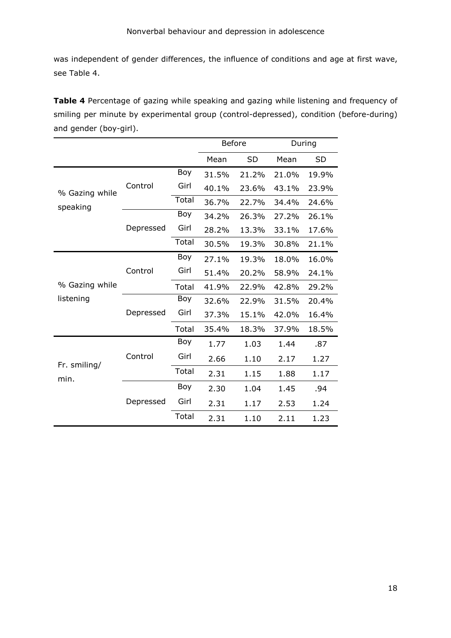was independent of gender differences, the influence of conditions and age at first wave, see Table 4.

**Table 4** Percentage of gazing while speaking and gazing while listening and frequency of smiling per minute by experimental group (control-depressed), condition (before-during) and gender (boy-girl).

|                |           |       | <b>Before</b> |           |       | During    |
|----------------|-----------|-------|---------------|-----------|-------|-----------|
|                |           |       | Mean          | <b>SD</b> | Mean  | <b>SD</b> |
|                |           | Boy   | 31.5%         | 21.2%     | 21.0% | 19.9%     |
| % Gazing while | Control   | Girl  | 40.1%         | 23.6%     | 43.1% | 23.9%     |
| speaking       |           | Total | 36.7%         | 22.7%     | 34.4% | 24.6%     |
|                |           | Boy   | 34.2%         | 26.3%     | 27.2% | 26.1%     |
|                | Depressed | Girl  | 28.2%         | 13.3%     | 33.1% | 17.6%     |
|                |           | Total | 30.5%         | 19.3%     | 30.8% | 21.1%     |
|                |           | Boy   | 27.1%         | 19.3%     | 18.0% | 16.0%     |
| % Gazing while | Control   | Girl  | 51.4%         | 20.2%     | 58.9% | 24.1%     |
|                |           | Total | 41.9%         | 22.9%     | 42.8% | 29.2%     |
| listening      |           | Boy   | 32.6%         | 22.9%     | 31.5% | 20.4%     |
|                | Depressed | Girl  | 37.3%         | 15.1%     | 42.0% | 16.4%     |
|                |           | Total | 35.4%         | 18.3%     | 37.9% | 18.5%     |
|                |           | Boy   | 1.77          | 1.03      | 1.44  | .87       |
| Fr. smiling/   | Control   | Girl  | 2.66          | 1.10      | 2.17  | 1.27      |
| min.           |           | Total | 2.31          | 1.15      | 1.88  | 1.17      |
|                |           | Boy   | 2.30          | 1.04      | 1.45  | .94       |
|                | Depressed | Girl  | 2.31          | 1.17      | 2.53  | 1.24      |
|                |           | Total | 2.31          | 1.10      | 2.11  | 1.23      |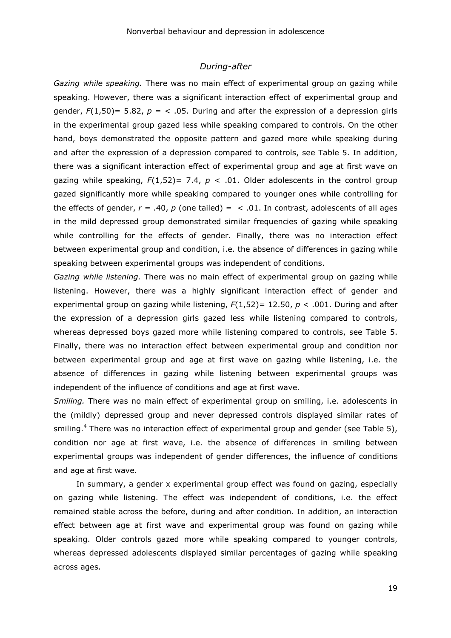#### *During-after*

*Gazing while speaking.* There was no main effect of experimental group on gazing while speaking. However, there was a significant interaction effect of experimental group and gender,  $F(1,50)$ = 5.82,  $p =$  < .05. During and after the expression of a depression girls in the experimental group gazed less while speaking compared to controls. On the other hand, boys demonstrated the opposite pattern and gazed more while speaking during and after the expression of a depression compared to controls, see Table 5. In addition, there was a significant interaction effect of experimental group and age at first wave on gazing while speaking,  $F(1,52)= 7.4$ ,  $p < .01$ . Older adolescents in the control group gazed significantly more while speaking compared to younger ones while controlling for the effects of gender,  $r = .40$ ,  $p$  (one tailed) =  $\le$  .01. In contrast, adolescents of all ages in the mild depressed group demonstrated similar frequencies of gazing while speaking while controlling for the effects of gender. Finally, there was no interaction effect between experimental group and condition, i.e. the absence of differences in gazing while speaking between experimental groups was independent of conditions.

*Gazing while listening.* There was no main effect of experimental group on gazing while listening. However, there was a highly significant interaction effect of gender and experimental group on gazing while listening, *F*(1,52)= 12.50, *p* < .001. During and after the expression of a depression girls gazed less while listening compared to controls, whereas depressed boys gazed more while listening compared to controls, see Table 5. Finally, there was no interaction effect between experimental group and condition nor between experimental group and age at first wave on gazing while listening, i.e. the absence of differences in gazing while listening between experimental groups was independent of the influence of conditions and age at first wave.

*Smiling.* There was no main effect of experimental group on smiling, i.e. adolescents in the (mildly) depressed group and never depressed controls displayed similar rates of smiling.<sup>4</sup> There was no interaction effect of experimental group and gender (see Table 5), condition nor age at first wave, i.e. the absence of differences in smiling between experimental groups was independent of gender differences, the influence of conditions and age at first wave.

 In summary, a gender x experimental group effect was found on gazing, especially on gazing while listening. The effect was independent of conditions, i.e. the effect remained stable across the before, during and after condition. In addition, an interaction effect between age at first wave and experimental group was found on gazing while speaking. Older controls gazed more while speaking compared to younger controls, whereas depressed adolescents displayed similar percentages of gazing while speaking across ages.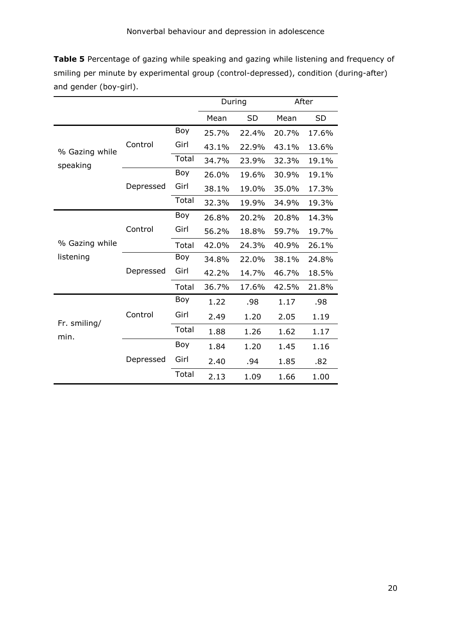**Table 5** Percentage of gazing while speaking and gazing while listening and frequency of smiling per minute by experimental group (control-depressed), condition (during-after) and gender (boy-girl).

|                |           |       | During |           | After |           |
|----------------|-----------|-------|--------|-----------|-------|-----------|
|                |           |       | Mean   | <b>SD</b> | Mean  | <b>SD</b> |
|                |           | Boy   | 25.7%  | 22.4%     | 20.7% | 17.6%     |
| % Gazing while | Control   | Girl  | 43.1%  | 22.9%     | 43.1% | 13.6%     |
| speaking       |           | Total | 34.7%  | 23.9%     | 32.3% | 19.1%     |
|                |           | Boy   | 26.0%  | 19.6%     | 30.9% | 19.1%     |
|                | Depressed | Girl  | 38.1%  | 19.0%     | 35.0% | 17.3%     |
|                |           | Total | 32.3%  | 19.9%     | 34.9% | 19.3%     |
|                |           | Boy   | 26.8%  | 20.2%     | 20.8% | 14.3%     |
| % Gazing while | Control   | Girl  | 56.2%  | 18.8%     | 59.7% | 19.7%     |
|                |           | Total | 42.0%  | 24.3%     | 40.9% | 26.1%     |
| listening      |           | Boy   | 34.8%  | 22.0%     | 38.1% | 24.8%     |
|                | Depressed | Girl  | 42.2%  | 14.7%     | 46.7% | 18.5%     |
|                |           | Total | 36.7%  | 17.6%     | 42.5% | 21.8%     |
|                |           | Boy   | 1.22   | .98       | 1.17  | .98       |
| Fr. smiling/   | Control   | Girl  | 2.49   | 1.20      | 2.05  | 1.19      |
| min.           |           | Total | 1.88   | 1.26      | 1.62  | 1.17      |
|                |           | Boy   | 1.84   | 1.20      | 1.45  | 1.16      |
|                | Depressed | Girl  | 2.40   | .94       | 1.85  | .82       |
|                |           | Total | 2.13   | 1.09      | 1.66  | 1.00      |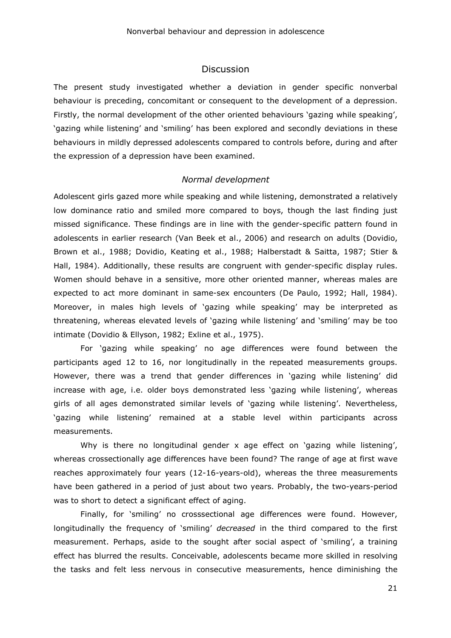#### Discussion

The present study investigated whether a deviation in gender specific nonverbal behaviour is preceding, concomitant or consequent to the development of a depression. Firstly, the normal development of the other oriented behaviours 'gazing while speaking', 'gazing while listening' and 'smiling' has been explored and secondly deviations in these behaviours in mildly depressed adolescents compared to controls before, during and after the expression of a depression have been examined.

## *Normal development*

Adolescent girls gazed more while speaking and while listening, demonstrated a relatively low dominance ratio and smiled more compared to boys, though the last finding just missed significance. These findings are in line with the gender-specific pattern found in adolescents in earlier research (Van Beek et al., 2006) and research on adults (Dovidio, Brown et al., 1988; Dovidio, Keating et al., 1988; Halberstadt & Saitta, 1987; Stier & Hall, 1984). Additionally, these results are congruent with gender-specific display rules. Women should behave in a sensitive, more other oriented manner, whereas males are expected to act more dominant in same-sex encounters (De Paulo, 1992; Hall, 1984). Moreover, in males high levels of 'gazing while speaking' may be interpreted as threatening, whereas elevated levels of 'gazing while listening' and 'smiling' may be too intimate (Dovidio & Ellyson, 1982; Exline et al., 1975).

For 'gazing while speaking' no age differences were found between the participants aged 12 to 16, nor longitudinally in the repeated measurements groups. However, there was a trend that gender differences in 'gazing while listening' did increase with age, i.e. older boys demonstrated less 'gazing while listening', whereas girls of all ages demonstrated similar levels of 'gazing while listening'. Nevertheless, 'gazing while listening' remained at a stable level within participants across measurements.

Why is there no longitudinal gender x age effect on 'gazing while listening', whereas crossectionally age differences have been found? The range of age at first wave reaches approximately four years (12-16-years-old), whereas the three measurements have been gathered in a period of just about two years. Probably, the two-years-period was to short to detect a significant effect of aging.

Finally, for 'smiling' no crosssectional age differences were found. However, longitudinally the frequency of 'smiling' *decreased* in the third compared to the first measurement. Perhaps, aside to the sought after social aspect of 'smiling', a training effect has blurred the results. Conceivable, adolescents became more skilled in resolving the tasks and felt less nervous in consecutive measurements, hence diminishing the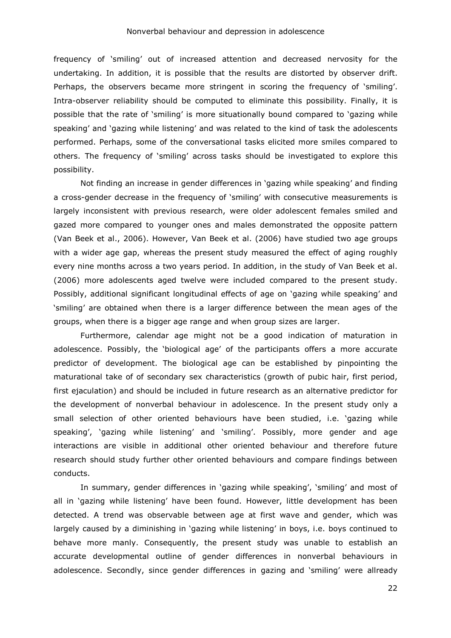frequency of 'smiling' out of increased attention and decreased nervosity for the undertaking. In addition, it is possible that the results are distorted by observer drift. Perhaps, the observers became more stringent in scoring the frequency of 'smiling'. Intra-observer reliability should be computed to eliminate this possibility. Finally, it is possible that the rate of 'smiling' is more situationally bound compared to 'gazing while speaking' and 'gazing while listening' and was related to the kind of task the adolescents performed. Perhaps, some of the conversational tasks elicited more smiles compared to others. The frequency of 'smiling' across tasks should be investigated to explore this possibility.

Not finding an increase in gender differences in 'gazing while speaking' and finding a cross-gender decrease in the frequency of 'smiling' with consecutive measurements is largely inconsistent with previous research, were older adolescent females smiled and gazed more compared to younger ones and males demonstrated the opposite pattern (Van Beek et al., 2006). However, Van Beek et al. (2006) have studied two age groups with a wider age gap, whereas the present study measured the effect of aging roughly every nine months across a two years period. In addition, in the study of Van Beek et al. (2006) more adolescents aged twelve were included compared to the present study. Possibly, additional significant longitudinal effects of age on 'gazing while speaking' and 'smiling' are obtained when there is a larger difference between the mean ages of the groups, when there is a bigger age range and when group sizes are larger.

Furthermore, calendar age might not be a good indication of maturation in adolescence. Possibly, the 'biological age' of the participants offers a more accurate predictor of development. The biological age can be established by pinpointing the maturational take of of secondary sex characteristics (growth of pubic hair, first period, first ejaculation) and should be included in future research as an alternative predictor for the development of nonverbal behaviour in adolescence. In the present study only a small selection of other oriented behaviours have been studied, i.e. 'gazing while speaking', 'gazing while listening' and 'smiling'. Possibly, more gender and age interactions are visible in additional other oriented behaviour and therefore future research should study further other oriented behaviours and compare findings between conducts.

In summary, gender differences in 'gazing while speaking', 'smiling' and most of all in 'gazing while listening' have been found. However, little development has been detected. A trend was observable between age at first wave and gender, which was largely caused by a diminishing in 'gazing while listening' in boys, i.e. boys continued to behave more manly. Consequently, the present study was unable to establish an accurate developmental outline of gender differences in nonverbal behaviours in adolescence. Secondly, since gender differences in gazing and 'smiling' were allready

22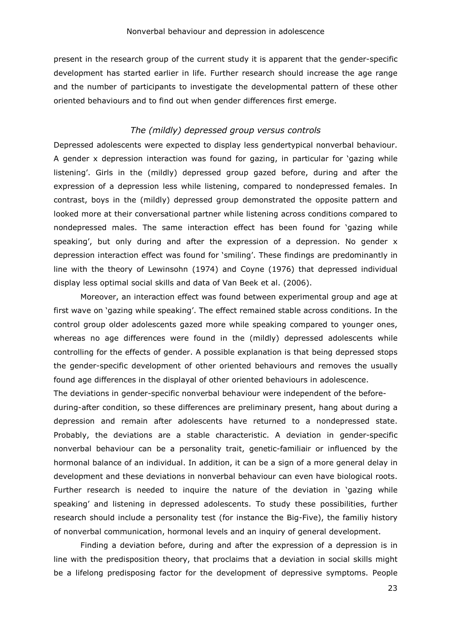present in the research group of the current study it is apparent that the gender-specific development has started earlier in life. Further research should increase the age range and the number of participants to investigate the developmental pattern of these other oriented behaviours and to find out when gender differences first emerge.

# *The (mildly) depressed group versus controls*

Depressed adolescents were expected to display less gendertypical nonverbal behaviour. A gender x depression interaction was found for gazing, in particular for 'gazing while listening'. Girls in the (mildly) depressed group gazed before, during and after the expression of a depression less while listening, compared to nondepressed females. In contrast, boys in the (mildly) depressed group demonstrated the opposite pattern and looked more at their conversational partner while listening across conditions compared to nondepressed males. The same interaction effect has been found for 'gazing while speaking', but only during and after the expression of a depression. No gender x depression interaction effect was found for 'smiling'. These findings are predominantly in line with the theory of Lewinsohn (1974) and Coyne (1976) that depressed individual display less optimal social skills and data of Van Beek et al. (2006).

Moreover, an interaction effect was found between experimental group and age at first wave on 'gazing while speaking'. The effect remained stable across conditions. In the control group older adolescents gazed more while speaking compared to younger ones, whereas no age differences were found in the (mildly) depressed adolescents while controlling for the effects of gender. A possible explanation is that being depressed stops the gender-specific development of other oriented behaviours and removes the usually found age differences in the displayal of other oriented behaviours in adolescence.

The deviations in gender-specific nonverbal behaviour were independent of the before-

during-after condition, so these differences are preliminary present, hang about during a depression and remain after adolescents have returned to a nondepressed state. Probably, the deviations are a stable characteristic. A deviation in gender-specific nonverbal behaviour can be a personality trait, genetic-familiair or influenced by the hormonal balance of an individual. In addition, it can be a sign of a more general delay in development and these deviations in nonverbal behaviour can even have biological roots. Further research is needed to inquire the nature of the deviation in 'gazing while speaking' and listening in depressed adolescents. To study these possibilities, further research should include a personality test (for instance the Big-Five), the familiy history of nonverbal communication, hormonal levels and an inquiry of general development.

Finding a deviation before, during and after the expression of a depression is in line with the predisposition theory, that proclaims that a deviation in social skills might be a lifelong predisposing factor for the development of depressive symptoms. People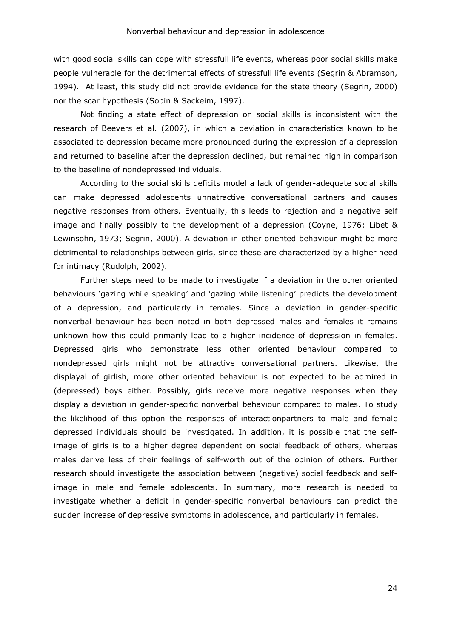with good social skills can cope with stressfull life events, whereas poor social skills make people vulnerable for the detrimental effects of stressfull life events (Segrin & Abramson, 1994). At least, this study did not provide evidence for the state theory (Segrin, 2000) nor the scar hypothesis (Sobin & Sackeim, 1997).

Not finding a state effect of depression on social skills is inconsistent with the research of Beevers et al. (2007), in which a deviation in characteristics known to be associated to depression became more pronounced during the expression of a depression and returned to baseline after the depression declined, but remained high in comparison to the baseline of nondepressed individuals.

According to the social skills deficits model a lack of gender-adequate social skills can make depressed adolescents unnatractive conversational partners and causes negative responses from others. Eventually, this leeds to rejection and a negative self image and finally possibly to the development of a depression (Coyne, 1976; Libet & Lewinsohn, 1973; Segrin, 2000). A deviation in other oriented behaviour might be more detrimental to relationships between girls, since these are characterized by a higher need for intimacy (Rudolph, 2002).

Further steps need to be made to investigate if a deviation in the other oriented behaviours 'gazing while speaking' and 'gazing while listening' predicts the development of a depression, and particularly in females. Since a deviation in gender-specific nonverbal behaviour has been noted in both depressed males and females it remains unknown how this could primarily lead to a higher incidence of depression in females. Depressed girls who demonstrate less other oriented behaviour compared to nondepressed girls might not be attractive conversational partners. Likewise, the displayal of girlish, more other oriented behaviour is not expected to be admired in (depressed) boys either. Possibly, girls receive more negative responses when they display a deviation in gender-specific nonverbal behaviour compared to males. To study the likelihood of this option the responses of interactionpartners to male and female depressed individuals should be investigated. In addition, it is possible that the selfimage of girls is to a higher degree dependent on social feedback of others, whereas males derive less of their feelings of self-worth out of the opinion of others. Further research should investigate the association between (negative) social feedback and selfimage in male and female adolescents. In summary, more research is needed to investigate whether a deficit in gender-specific nonverbal behaviours can predict the sudden increase of depressive symptoms in adolescence, and particularly in females.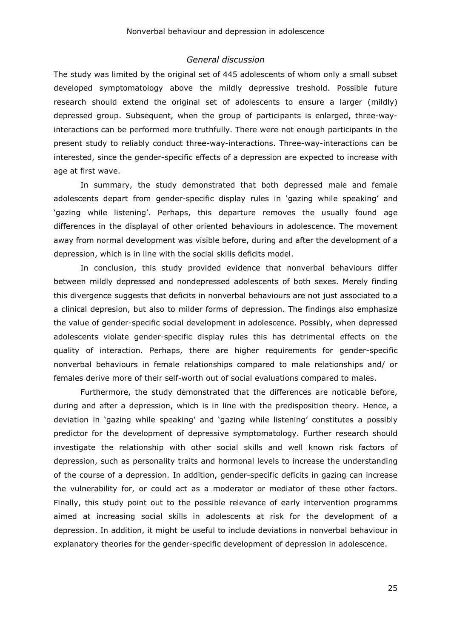#### *General discussion*

The study was limited by the original set of 445 adolescents of whom only a small subset developed symptomatology above the mildly depressive treshold. Possible future research should extend the original set of adolescents to ensure a larger (mildly) depressed group. Subsequent, when the group of participants is enlarged, three-wayinteractions can be performed more truthfully. There were not enough participants in the present study to reliably conduct three-way-interactions. Three-way-interactions can be interested, since the gender-specific effects of a depression are expected to increase with age at first wave.

In summary, the study demonstrated that both depressed male and female adolescents depart from gender-specific display rules in 'gazing while speaking' and 'gazing while listening'. Perhaps, this departure removes the usually found age differences in the displayal of other oriented behaviours in adolescence. The movement away from normal development was visible before, during and after the development of a depression, which is in line with the social skills deficits model.

In conclusion, this study provided evidence that nonverbal behaviours differ between mildly depressed and nondepressed adolescents of both sexes. Merely finding this divergence suggests that deficits in nonverbal behaviours are not just associated to a a clinical depresion, but also to milder forms of depression. The findings also emphasize the value of gender-specific social development in adolescence. Possibly, when depressed adolescents violate gender-specific display rules this has detrimental effects on the quality of interaction. Perhaps, there are higher requirements for gender-specific nonverbal behaviours in female relationships compared to male relationships and/ or females derive more of their self-worth out of social evaluations compared to males.

Furthermore, the study demonstrated that the differences are noticable before, during and after a depression, which is in line with the predisposition theory. Hence, a deviation in 'gazing while speaking' and 'gazing while listening' constitutes a possibly predictor for the development of depressive symptomatology. Further research should investigate the relationship with other social skills and well known risk factors of depression, such as personality traits and hormonal levels to increase the understanding of the course of a depression. In addition, gender-specific deficits in gazing can increase the vulnerability for, or could act as a moderator or mediator of these other factors. Finally, this study point out to the possible relevance of early intervention programms aimed at increasing social skills in adolescents at risk for the development of a depression. In addition, it might be useful to include deviations in nonverbal behaviour in explanatory theories for the gender-specific development of depression in adolescence.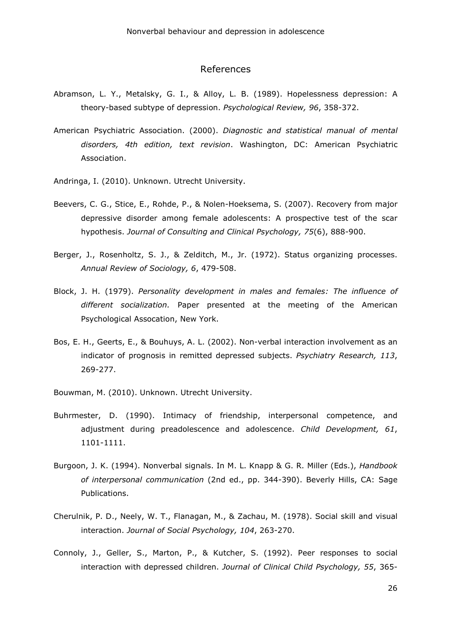#### References

- Abramson, L. Y., Metalsky, G. I., & Alloy, L. B. (1989). Hopelessness depression: A theory-based subtype of depression. *Psychological Review, 96*, 358-372.
- American Psychiatric Association. (2000). *Diagnostic and statistical manual of mental disorders, 4th edition, text revision*. Washington, DC: American Psychiatric Association.
- Andringa, I. (2010). Unknown. Utrecht University.
- Beevers, C. G., Stice, E., Rohde, P., & Nolen-Hoeksema, S. (2007). Recovery from major depressive disorder among female adolescents: A prospective test of the scar hypothesis. *Journal of Consulting and Clinical Psychology, 75*(6), 888-900.
- Berger, J., Rosenholtz, S. J., & Zelditch, M., Jr. (1972). Status organizing processes. *Annual Review of Sociology, 6*, 479-508.
- Block, J. H. (1979). *Personality development in males and females: The influence of different socialization.* Paper presented at the meeting of the American Psychological Assocation, New York.
- Bos, E. H., Geerts, E., & Bouhuys, A. L. (2002). Non-verbal interaction involvement as an indicator of prognosis in remitted depressed subjects. *Psychiatry Research, 113*, 269-277.
- Bouwman, M. (2010). Unknown. Utrecht University.
- Buhrmester, D. (1990). Intimacy of friendship, interpersonal competence, and adjustment during preadolescence and adolescence. *Child Development, 61*, 1101-1111.
- Burgoon, J. K. (1994). Nonverbal signals. In M. L. Knapp & G. R. Miller (Eds.), *Handbook of interpersonal communication* (2nd ed., pp. 344-390). Beverly Hills, CA: Sage Publications.
- Cherulnik, P. D., Neely, W. T., Flanagan, M., & Zachau, M. (1978). Social skill and visual interaction. *Journal of Social Psychology, 104*, 263-270.
- Connoly, J., Geller, S., Marton, P., & Kutcher, S. (1992). Peer responses to social interaction with depressed children. *Journal of Clinical Child Psychology, 55*, 365-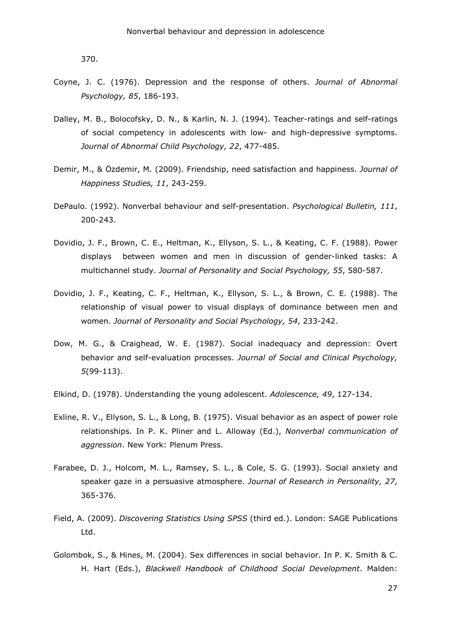370.

- Coyne, J. C. (1976). Depression and the response of others. *Journal of Abnormal Psychology, 85*, 186-193.
- Dalley, M. B., Bolocofsky, D. N., & Karlin, N. J. (1994). Teacher-ratings and self-ratings of social competency in adolescents with low- and high-depressive symptoms. *Journal of Abnormal Child Psychology, 22*, 477-485.
- Demir, M., & Özdemir, M. (2009). Friendship, need satisfaction and happiness. *Journal of Happiness Studies, 11*, 243-259.
- DePaulo. (1992). Nonverbal behaviour and self-presentation. *Psychological Bulletin, 111*, 200-243.
- Dovidio, J. F., Brown, C. E., Heltman, K., Ellyson, S. L., & Keating, C. F. (1988). Power displays between women and men in discussion of gender-linked tasks: A multichannel study. *Journal of Personality and Social Psychology, 55*, 580-587.
- Dovidio, J. F., Keating, C. F., Heltman, K., Ellyson, S. L., & Brown, C. E. (1988). The relationship of visual power to visual displays of dominance between men and women. *Journal of Personality and Social Psychology, 54*, 233-242.
- Dow, M. G., & Craighead, W. E. (1987). Social inadequacy and depression: Overt behavior and self-evaluation processes. *Journal of Social and Clinical Psychology, 5*(99-113).
- Elkind, D. (1978). Understanding the young adolescent. *Adolescence, 49*, 127-134.
- Exline, R. V., Ellyson, S. L., & Long, B. (1975). Visual behavior as an aspect of power role relationships. In P. K. Pliner and L. Alloway (Ed.), *Nonverbal communication of aggression*. New York: Plenum Press.
- Farabee, D. J., Holcom, M. L., Ramsey, S. L., & Cole, S. G. (1993). Social anxiety and speaker gaze in a persuasive atmosphere. *Journal of Research in Personality, 27*, 365-376.
- Field, A. (2009). *Discovering Statistics Using SPSS* (third ed.). London: SAGE Publications Ltd.
- Golombok, S., & Hines, M. (2004). Sex differences in social behavior. In P. K. Smith & C. H. Hart (Eds.), *Blackwell Handbook of Childhood Social Development*. Malden: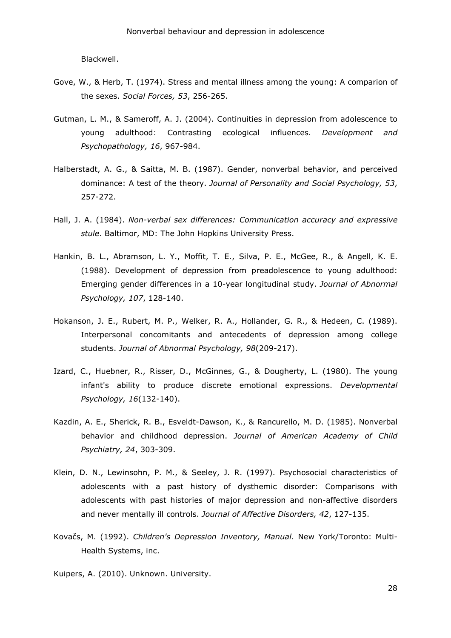Blackwell.

- Gove, W., & Herb, T. (1974). Stress and mental illness among the young: A comparion of the sexes. *Social Forces, 53*, 256-265.
- Gutman, L. M., & Sameroff, A. J. (2004). Continuities in depression from adolescence to young adulthood: Contrasting ecological influences. *Development and Psychopathology, 16*, 967-984.
- Halberstadt, A. G., & Saitta, M. B. (1987). Gender, nonverbal behavior, and perceived dominance: A test of the theory. *Journal of Personality and Social Psychology, 53*, 257-272.
- Hall, J. A. (1984). *Non-verbal sex differences: Communication accuracy and expressive stule*. Baltimor, MD: The John Hopkins University Press.
- Hankin, B. L., Abramson, L. Y., Moffit, T. E., Silva, P. E., McGee, R., & Angell, K. E. (1988). Development of depression from preadolescence to young adulthood: Emerging gender differences in a 10-year longitudinal study. *Journal of Abnormal Psychology, 107*, 128-140.
- Hokanson, J. E., Rubert, M. P., Welker, R. A., Hollander, G. R., & Hedeen, C. (1989). Interpersonal concomitants and antecedents of depression among college students. *Journal of Abnormal Psychology, 98*(209-217).
- Izard, C., Huebner, R., Risser, D., McGinnes, G., & Dougherty, L. (1980). The young infant's ability to produce discrete emotional expressions. *Developmental Psychology, 16*(132-140).
- Kazdin, A. E., Sherick, R. B., Esveldt-Dawson, K., & Rancurello, M. D. (1985). Nonverbal behavior and childhood depression. *Journal of American Academy of Child Psychiatry, 24*, 303-309.
- Klein, D. N., Lewinsohn, P. M., & Seeley, J. R. (1997). Psychosocial characteristics of adolescents with a past history of dysthemic disorder: Comparisons with adolescents with past histories of major depression and non-affective disorders and never mentally ill controls. *Journal of Affective Disorders, 42*, 127-135.
- Kovačs, M. (1992). *Children's Depression Inventory, Manual*. New York/Toronto: Multi-Health Systems, inc.
- Kuipers, A. (2010). Unknown. University.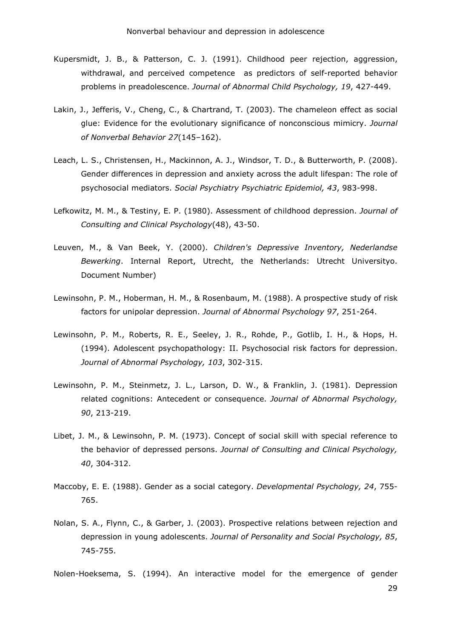- Kupersmidt, J. B., & Patterson, C. J. (1991). Childhood peer rejection, aggression, withdrawal, and perceived competence as predictors of self-reported behavior problems in preadolescence. *Journal of Abnormal Child Psychology, 19*, 427-449.
- Lakin, J., Jefferis, V., Cheng, C., & Chartrand, T. (2003). The chameleon effect as social glue: Evidence for the evolutionary significance of nonconscious mimicry. *Journal of Nonverbal Behavior 27*(145–162).
- Leach, L. S., Christensen, H., Mackinnon, A. J., Windsor, T. D., & Butterworth, P. (2008). Gender differences in depression and anxiety across the adult lifespan: The role of psychosocial mediators. *Social Psychiatry Psychiatric Epidemiol, 43*, 983-998.
- Lefkowitz, M. M., & Testiny, E. P. (1980). Assessment of childhood depression. *Journal of Consulting and Clinical Psychology*(48), 43-50.
- Leuven, M., & Van Beek, Y. (2000). *Children's Depressive Inventory, Nederlandse Bewerking*. Internal Report, Utrecht, the Netherlands: Utrecht Universityo. Document Number)
- Lewinsohn, P. M., Hoberman, H. M., & Rosenbaum, M. (1988). A prospective study of risk factors for unipolar depression. *Journal of Abnormal Psychology 97*, 251-264.
- Lewinsohn, P. M., Roberts, R. E., Seeley, J. R., Rohde, P., Gotlib, I. H., & Hops, H. (1994). Adolescent psychopathology: II. Psychosocial risk factors for depression. *Journal of Abnormal Psychology, 103*, 302-315.
- Lewinsohn, P. M., Steinmetz, J. L., Larson, D. W., & Franklin, J. (1981). Depression related cognitions: Antecedent or consequence. *Journal of Abnormal Psychology, 90*, 213-219.
- Libet, J. M., & Lewinsohn, P. M. (1973). Concept of social skill with special reference to the behavior of depressed persons. *Journal of Consulting and Clinical Psychology, 40*, 304-312.
- Maccoby, E. E. (1988). Gender as a social category. *Developmental Psychology, 24*, 755- 765.
- Nolan, S. A., Flynn, C., & Garber, J. (2003). Prospective relations between rejection and depression in young adolescents. *Journal of Personality and Social Psychology, 85*, 745-755.

Nolen-Hoeksema, S. (1994). An interactive model for the emergence of gender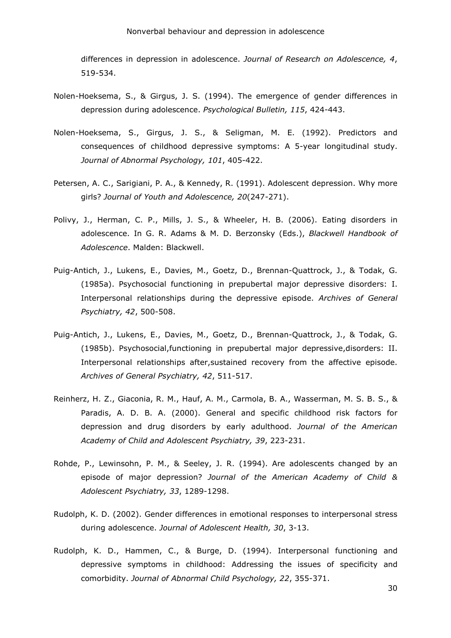differences in depression in adolescence. *Journal of Research on Adolescence, 4*, 519-534.

- Nolen-Hoeksema, S., & Girgus, J. S. (1994). The emergence of gender differences in depression during adolescence. *Psychological Bulletin, 115*, 424-443.
- Nolen-Hoeksema, S., Girgus, J. S., & Seligman, M. E. (1992). Predictors and consequences of childhood depressive symptoms: A 5-year longitudinal study. *Journal of Abnormal Psychology, 101*, 405-422.
- Petersen, A. C., Sarigiani, P. A., & Kennedy, R. (1991). Adolescent depression. Why more girls? *Journal of Youth and Adolescence, 20*(247-271).
- Polivy, J., Herman, C. P., Mills, J. S., & Wheeler, H. B. (2006). Eating disorders in adolescence. In G. R. Adams & M. D. Berzonsky (Eds.), *Blackwell Handbook of Adolescence*. Malden: Blackwell.
- Puig-Antich, J., Lukens, E., Davies, M., Goetz, D., Brennan-Quattrock, J., & Todak, G. (1985a). Psychosocial functioning in prepubertal major depressive disorders: I. Interpersonal relationships during the depressive episode. *Archives of General Psychiatry, 42*, 500-508.
- Puig-Antich, J., Lukens, E., Davies, M., Goetz, D., Brennan-Quattrock, J., & Todak, G. (1985b). Psychosocial,functioning in prepubertal major depressive,disorders: II. Interpersonal relationships after,sustained recovery from the affective episode. *Archives of General Psychiatry, 42*, 511-517.
- Reinherz, H. Z., Giaconia, R. M., Hauf, A. M., Carmola, B. A., Wasserman, M. S. B. S., & Paradis, A. D. B. A. (2000). General and specific childhood risk factors for depression and drug disorders by early adulthood. *Journal of the American Academy of Child and Adolescent Psychiatry, 39*, 223-231.
- Rohde, P., Lewinsohn, P. M., & Seeley, J. R. (1994). Are adolescents changed by an episode of major depression? *Journal of the American Academy of Child & Adolescent Psychiatry, 33*, 1289-1298.
- Rudolph, K. D. (2002). Gender differences in emotional responses to interpersonal stress during adolescence. *Journal of Adolescent Health, 30*, 3-13.
- Rudolph, K. D., Hammen, C., & Burge, D. (1994). Interpersonal functioning and depressive symptoms in childhood: Addressing the issues of specificity and comorbidity. *Journal of Abnormal Child Psychology, 22*, 355-371.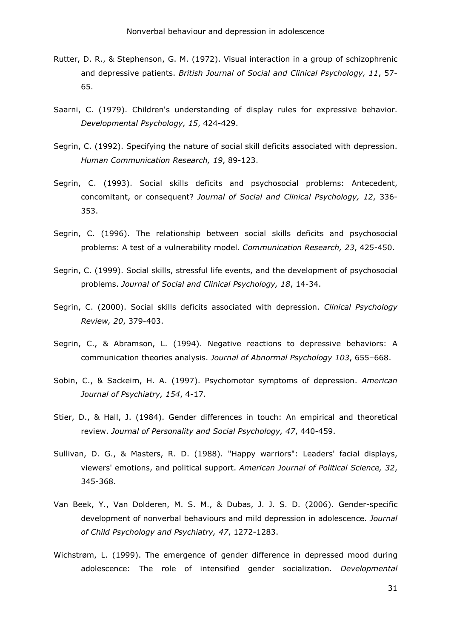- Rutter, D. R., & Stephenson, G. M. (1972). Visual interaction in a group of schizophrenic and depressive patients. *British Journal of Social and Clinical Psychology, 11*, 57- 65.
- Saarni, C. (1979). Children's understanding of display rules for expressive behavior. *Developmental Psychology, 15*, 424-429.
- Segrin, C. (1992). Specifying the nature of social skill deficits associated with depression. *Human Communication Research, 19*, 89-123.
- Segrin, C. (1993). Social skills deficits and psychosocial problems: Antecedent, concomitant, or consequent? *Journal of Social and Clinical Psychology, 12*, 336- 353.
- Segrin, C. (1996). The relationship between social skills deficits and psychosocial problems: A test of a vulnerability model. *Communication Research, 23*, 425-450.
- Segrin, C. (1999). Social skills, stressful life events, and the development of psychosocial problems. *Journal of Social and Clinical Psychology, 18*, 14-34.
- Segrin, C. (2000). Social skills deficits associated with depression. *Clinical Psychology Review, 20*, 379-403.
- Segrin, C., & Abramson, L. (1994). Negative reactions to depressive behaviors: A communication theories analysis. *Journal of Abnormal Psychology 103*, 655–668.
- Sobin, C., & Sackeim, H. A. (1997). Psychomotor symptoms of depression. *American Journal of Psychiatry, 154*, 4-17.
- Stier, D., & Hall, J. (1984). Gender differences in touch: An empirical and theoretical review. *Journal of Personality and Social Psychology, 47*, 440-459.
- Sullivan, D. G., & Masters, R. D. (1988). "Happy warriors": Leaders' facial displays, viewers' emotions, and political support. *American Journal of Political Science, 32*, 345-368.
- Van Beek, Y., Van Dolderen, M. S. M., & Dubas, J. J. S. D. (2006). Gender-specific development of nonverbal behaviours and mild depression in adolescence. *Journal of Child Psychology and Psychiatry, 47*, 1272-1283.
- Wichstrøm, L. (1999). The emergence of gender difference in depressed mood during adolescence: The role of intensified gender socialization. *Developmental*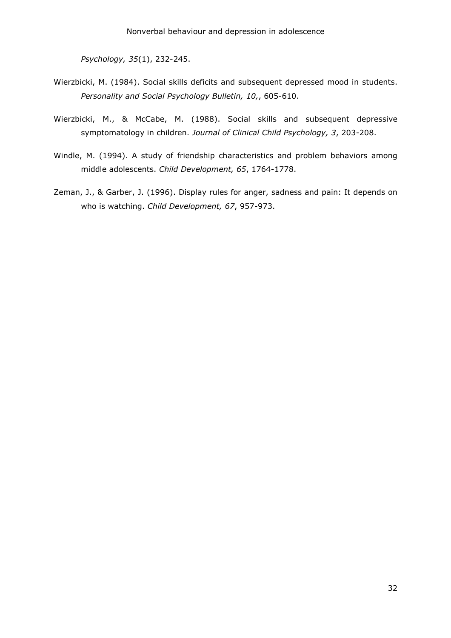*Psychology, 35*(1), 232-245.

- Wierzbicki, M. (1984). Social skills deficits and subsequent depressed mood in students. *Personality and Social Psychology Bulletin, 10,*, 605-610.
- Wierzbicki, M., & McCabe, M. (1988). Social skills and subsequent depressive symptomatology in children. *Journal of Clinical Child Psychology, 3*, 203-208.
- Windle, M. (1994). A study of friendship characteristics and problem behaviors among middle adolescents. *Child Development, 65*, 1764-1778.
- Zeman, J., & Garber, J. (1996). Display rules for anger, sadness and pain: It depends on who is watching. *Child Development, 67*, 957-973.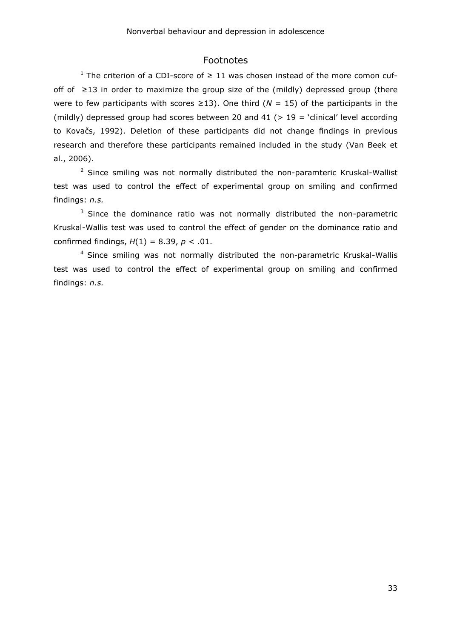## Footnotes

<sup>1</sup> The criterion of a CDI-score of  $\geq$  11 was chosen instead of the more comon cufoff of  $\geq$ 13 in order to maximize the group size of the (mildly) depressed group (there were to few participants with scores  $\geq$ 13). One third ( $N = 15$ ) of the participants in the (mildly) depressed group had scores between 20 and 41 ( $> 19$  = 'clinical' level according to Kovačs, 1992). Deletion of these participants did not change findings in previous research and therefore these participants remained included in the study (Van Beek et al., 2006).

<sup>2</sup> Since smiling was not normally distributed the non-paramteric Kruskal-Wallist test was used to control the effect of experimental group on smiling and confirmed findings: *n.s.* 

 $3$  Since the dominance ratio was not normally distributed the non-parametric Kruskal-Wallis test was used to control the effect of gender on the dominance ratio and confirmed findings, *H*(1) = 8.39, *p* < .01.

<sup>4</sup> Since smiling was not normally distributed the non-parametric Kruskal-Wallis test was used to control the effect of experimental group on smiling and confirmed findings: *n.s.*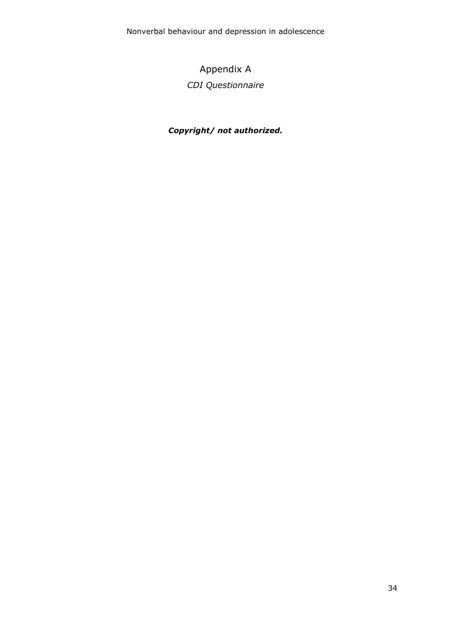# Appendix A *CDI Questionnaire*

# *Copyright/ not authorized.*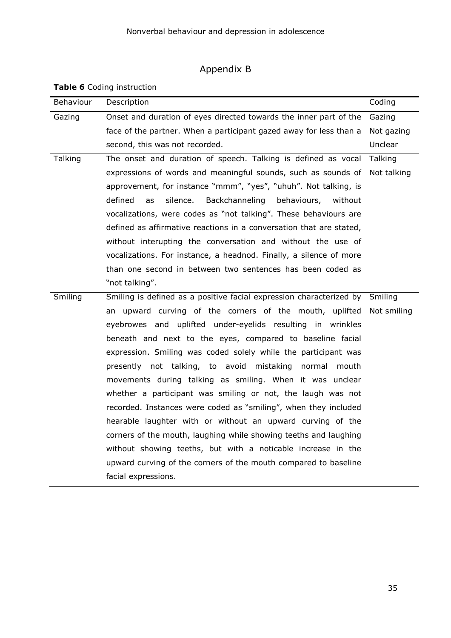# Appendix B

**Table 6** Coding instruction

| Behaviour | Description                                                                 | Coding      |
|-----------|-----------------------------------------------------------------------------|-------------|
| Gazing    | Onset and duration of eyes directed towards the inner part of the           | Gazing      |
|           | face of the partner. When a participant gazed away for less than a          | Not gazing  |
|           | second, this was not recorded.                                              | Unclear     |
| Talking   | The onset and duration of speech. Talking is defined as vocal               | Talking     |
|           | expressions of words and meaningful sounds, such as sounds of               | Not talking |
|           | approvement, for instance "mmm", "yes", "uhuh". Not talking, is             |             |
|           | defined<br>silence.<br>Backchanneling<br>behaviours,<br>as<br>without       |             |
|           | vocalizations, were codes as "not talking". These behaviours are            |             |
|           | defined as affirmative reactions in a conversation that are stated,         |             |
|           | without interupting the conversation and without the use of                 |             |
|           | vocalizations. For instance, a headnod. Finally, a silence of more          |             |
|           | than one second in between two sentences has been coded as                  |             |
|           | "not talking".                                                              |             |
| Smiling   | Smiling is defined as a positive facial expression characterized by Smiling |             |
|           | an upward curving of the corners of the mouth, uplifted                     | Not smiling |
|           | eyebrowes and uplifted under-eyelids resulting in wrinkles                  |             |
|           | beneath and next to the eyes, compared to baseline facial                   |             |
|           | expression. Smiling was coded solely while the participant was              |             |
|           | presently not talking, to avoid mistaking normal mouth                      |             |
|           | movements during talking as smiling. When it was unclear                    |             |
|           | whether a participant was smiling or not, the laugh was not                 |             |
|           | recorded. Instances were coded as "smiling", when they included             |             |
|           | hearable laughter with or without an upward curving of the                  |             |
|           | corners of the mouth, laughing while showing teeths and laughing            |             |
|           | without showing teeths, but with a noticable increase in the                |             |
|           | upward curving of the corners of the mouth compared to baseline             |             |
|           | facial expressions.                                                         |             |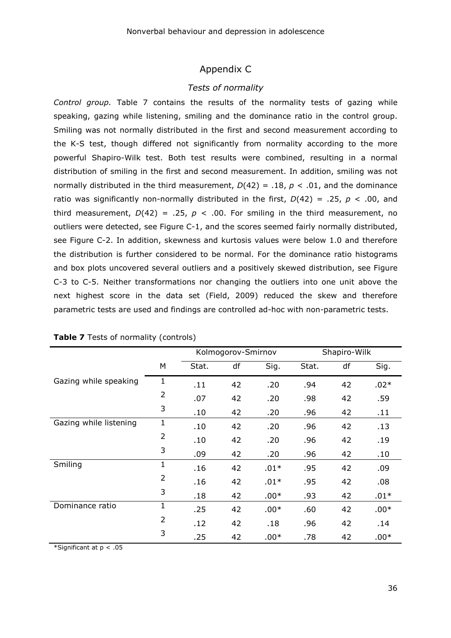# Appendix C

## *Tests of normality*

*Control group.* Table 7 contains the results of the normality tests of gazing while speaking, gazing while listening, smiling and the dominance ratio in the control group. Smiling was not normally distributed in the first and second measurement according to the K-S test, though differed not significantly from normality according to the more powerful Shapiro-Wilk test. Both test results were combined, resulting in a normal distribution of smiling in the first and second measurement. In addition, smiling was not normally distributed in the third measurement,  $D(42) = .18$ ,  $p < .01$ , and the dominance ratio was significantly non-normally distributed in the first, *D*(42) = .25, *p* < .00, and third measurement,  $D(42) = .25$ ,  $p < .00$ . For smiling in the third measurement, no outliers were detected, see Figure C-1, and the scores seemed fairly normally distributed, see Figure C-2. In addition, skewness and kurtosis values were below 1.0 and therefore the distribution is further considered to be normal. For the dominance ratio histograms and box plots uncovered several outliers and a positively skewed distribution, see Figure C-3 to C-5. Neither transformations nor changing the outliers into one unit above the next highest score in the data set (Field, 2009) reduced the skew and therefore parametric tests are used and findings are controlled ad-hoc with non-parametric tests.

|                        |                |       | Kolmogorov-Smirnov |        | Shapiro-Wilk |    |        |  |
|------------------------|----------------|-------|--------------------|--------|--------------|----|--------|--|
|                        | M              | Stat. | df                 | Sig.   | Stat.        | df | Sig.   |  |
| Gazing while speaking  | 1              | .11   | 42                 | .20    | .94          | 42 | $.02*$ |  |
|                        | $\overline{2}$ | .07   | 42                 | .20    | .98          | 42 | .59    |  |
|                        | 3              | .10   | 42                 | .20    | .96          | 42 | .11    |  |
| Gazing while listening | $\mathbf{1}$   | .10   | 42                 | .20    | .96          | 42 | .13    |  |
|                        | $\overline{2}$ | .10   | 42                 | .20    | .96          | 42 | .19    |  |
|                        | 3              | .09   | 42                 | .20    | .96          | 42 | .10    |  |
| Smiling                | $\mathbf 1$    | .16   | 42                 | $.01*$ | .95          | 42 | .09    |  |
|                        | $\overline{2}$ | .16   | 42                 | $.01*$ | .95          | 42 | .08    |  |
|                        | 3              | .18   | 42                 | $.00*$ | .93          | 42 | $.01*$ |  |
| Dominance ratio        | $\mathbf{1}$   | .25   | 42                 | $.00*$ | .60          | 42 | $.00*$ |  |
|                        | $\overline{2}$ | .12   | 42                 | .18    | .96          | 42 | .14    |  |
|                        | 3              | .25   | 42                 | $.00*$ | .78          | 42 | $.00*$ |  |

| Table 7 Tests of normality (controls) |
|---------------------------------------|
|---------------------------------------|

\*Significant at p < .05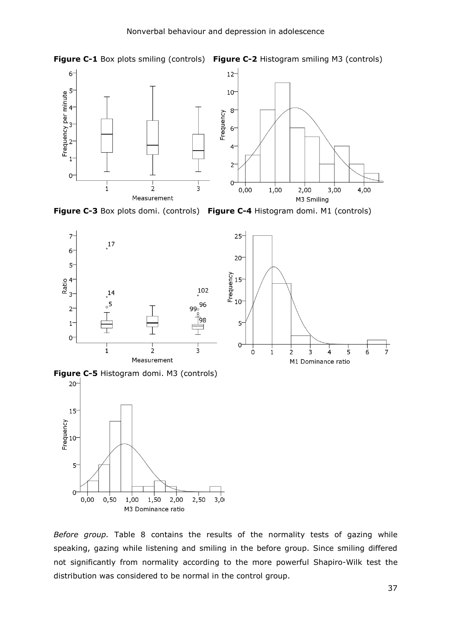



**Figure C-3** Box plots domi. (controls) **Figure C-4** Histogram domi. M1 (controls)





**Figure C-5** Histogram domi. M3 (controls)



*Before group.* Table 8 contains the results of the normality tests of gazing while speaking, gazing while listening and smiling in the before group. Since smiling differed not significantly from normality according to the more powerful Shapiro-Wilk test the distribution was considered to be normal in the control group.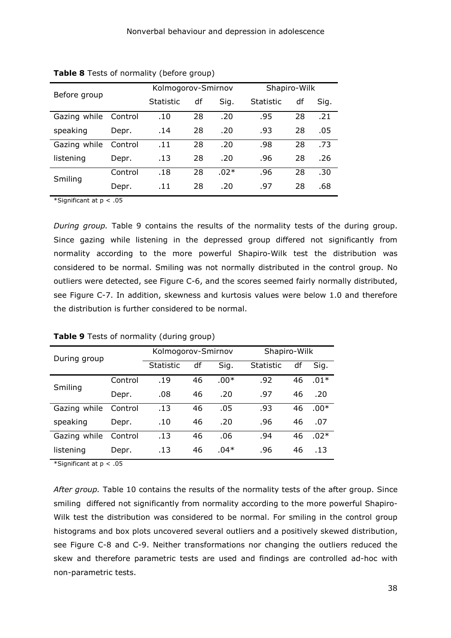| Before group |         | Kolmogorov-Smirnov |    |        | Shapiro-Wilk |    |      |  |
|--------------|---------|--------------------|----|--------|--------------|----|------|--|
|              |         | Statistic          | df | Sig.   | Statistic    | df | Sig. |  |
| Gazing while | Control | .10                | 28 | .20    | .95          | 28 | .21  |  |
| speaking     | Depr.   | .14                | 28 | .20    | .93          | 28 | .05  |  |
| Gazing while | Control | .11                | 28 | .20    | .98          | 28 | .73  |  |
| listening    | Depr.   | .13                | 28 | .20    | .96          | 28 | .26  |  |
| Smiling      | Control | .18                | 28 | $.02*$ | .96          | 28 | .30  |  |
|              | Depr.   | .11                | 28 | .20    | .97          | 28 | .68  |  |

| Table 8 Tests of normality (before group) |  |  |  |  |  |
|-------------------------------------------|--|--|--|--|--|
|-------------------------------------------|--|--|--|--|--|

\*Significant at p < .05

*During group.* Table 9 contains the results of the normality tests of the during group. Since gazing while listening in the depressed group differed not significantly from normality according to the more powerful Shapiro-Wilk test the distribution was considered to be normal. Smiling was not normally distributed in the control group. No outliers were detected, see Figure C-6, and the scores seemed fairly normally distributed, see Figure C-7. In addition, skewness and kurtosis values were below 1.0 and therefore the distribution is further considered to be normal.

| During group |         | Kolmogorov-Smirnov |    |        | Shapiro-Wilk     |    |        |  |
|--------------|---------|--------------------|----|--------|------------------|----|--------|--|
|              |         | <b>Statistic</b>   | df | Sig.   | <b>Statistic</b> | df | Sig.   |  |
| Smiling      | Control | .19                | 46 | $.00*$ | .92              | 46 | $.01*$ |  |
|              | Depr.   | .08                | 46 | .20    | .97              | 46 | .20    |  |
| Gazing while | Control | .13                | 46 | .05    | .93              | 46 | $.00*$ |  |
| speaking     | Depr.   | .10                | 46 | .20    | .96              | 46 | .07    |  |
| Gazing while | Control | .13                | 46 | .06    | .94              | 46 | $.02*$ |  |
| listening    | Depr.   | .13                | 46 | $.04*$ | .96              | 46 | .13    |  |

#### **Table 9** Tests of normality (during group)

\*Significant at p < .05

*After group.* Table 10 contains the results of the normality tests of the after group. Since smiling differed not significantly from normality according to the more powerful Shapiro-Wilk test the distribution was considered to be normal. For smiling in the control group histograms and box plots uncovered several outliers and a positively skewed distribution, see Figure C-8 and C-9. Neither transformations nor changing the outliers reduced the skew and therefore parametric tests are used and findings are controlled ad-hoc with non-parametric tests.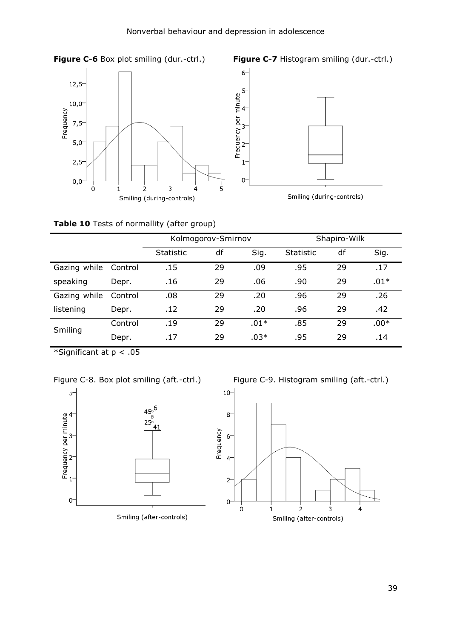





## **Table 10** Tests of normallity (after group)

|              |         | Kolmogorov-Smirnov |    |        | Shapiro-Wilk |    |        |
|--------------|---------|--------------------|----|--------|--------------|----|--------|
|              |         | <b>Statistic</b>   | df | Sig.   | Statistic    | df | Sig.   |
| Gazing while | Control | .15                | 29 | .09    | .95          | 29 | .17    |
| speaking     | Depr.   | .16                | 29 | .06    | .90          | 29 | $.01*$ |
| Gazing while | Control | .08                | 29 | .20    | .96          | 29 | .26    |
| listening    | Depr.   | .12                | 29 | .20    | .96          | 29 | .42    |
| Smiling      | Control | .19                | 29 | $.01*$ | .85          | 29 | $.00*$ |
|              | Depr.   | .17                | 29 | $.03*$ | .95          | 29 | .14    |

\*Significant at p < .05